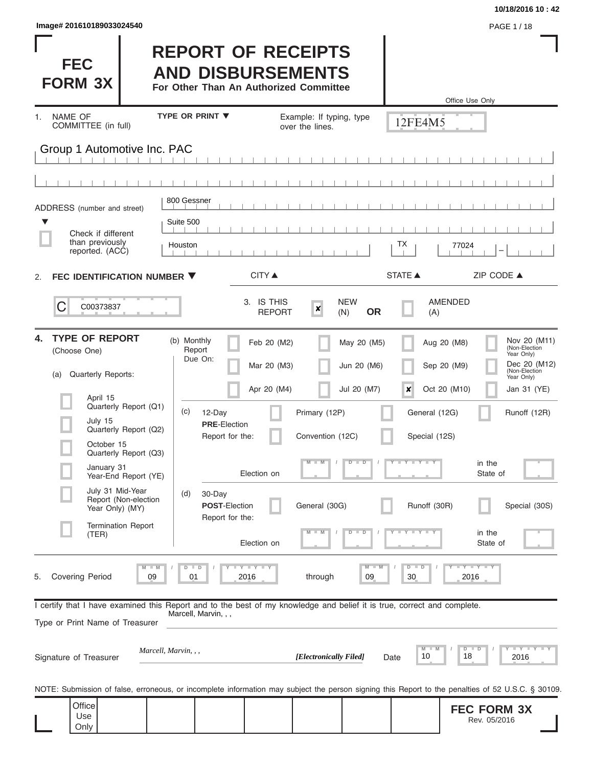| <b>FEC</b><br><b>FORM 3X</b>                                                                                                                                                                                                                                                                                                                                                                                                                                                                                                                                                                                                                                                                                                                                                                                                                                                                                                                                                                                                                                                                                                                                                                                                                                                                                                                                                                                                                                                                                                                                                                                                                                                                                                                                                                                                                                                                                                                                                                                                |                      |                        |      |                     |                                                                                                                |  |
|-----------------------------------------------------------------------------------------------------------------------------------------------------------------------------------------------------------------------------------------------------------------------------------------------------------------------------------------------------------------------------------------------------------------------------------------------------------------------------------------------------------------------------------------------------------------------------------------------------------------------------------------------------------------------------------------------------------------------------------------------------------------------------------------------------------------------------------------------------------------------------------------------------------------------------------------------------------------------------------------------------------------------------------------------------------------------------------------------------------------------------------------------------------------------------------------------------------------------------------------------------------------------------------------------------------------------------------------------------------------------------------------------------------------------------------------------------------------------------------------------------------------------------------------------------------------------------------------------------------------------------------------------------------------------------------------------------------------------------------------------------------------------------------------------------------------------------------------------------------------------------------------------------------------------------------------------------------------------------------------------------------------------------|----------------------|------------------------|------|---------------------|----------------------------------------------------------------------------------------------------------------|--|
| Image# 201610189033024540<br>PAGE 1 / 18<br><b>REPORT OF RECEIPTS</b><br><b>AND DISBURSEMENTS</b><br>For Other Than An Authorized Committee<br>Office Use Only<br><b>TYPE OR PRINT ▼</b><br>NAME OF<br>Example: If typing, type<br>1.<br>12FE4M5<br>COMMITTEE (in full)<br>over the lines.<br>Group 1 Automotive Inc. PAC<br>800 Gessner<br>ADDRESS (number and street)<br>Suite 500<br>▼<br>Check if different<br>than previously<br>ТX<br>Houston<br>77024<br>reported. (ACC)<br><b>STATE ▲</b><br>ZIP CODE ▲<br><b>CITY</b> ▲<br>FEC IDENTIFICATION NUMBER ▼<br>2.<br>3. IS THIS<br><b>NEW</b><br><b>AMENDED</b><br>C<br>C00373837<br>$\boldsymbol{x}$<br><b>OR</b><br><b>REPORT</b><br>(N)<br>(A)<br><b>TYPE OF REPORT</b><br>4.<br>(b) Monthly<br>Feb 20 (M2)<br>May 20 (M5)<br>Aug 20 (M8)<br>Report<br>(Choose One)<br>Year Only)<br>Due On:<br>Mar 20 (M3)<br>Jun 20 (M6)<br>Sep 20 (M9)<br><b>Quarterly Reports:</b><br>(a)<br>Year Only)<br>Apr 20 (M4)<br>Jul 20 (M7)<br>×<br>Oct 20 (M10)<br>April 15<br>Quarterly Report (Q1)<br>(c)<br>12-Day<br>Primary (12P)<br>General (12G)<br>July 15<br><b>PRE-Election</b><br>Quarterly Report (Q2)<br>Report for the:<br>Convention (12C)<br>Special (12S)<br>October 15<br>Quarterly Report (Q3)<br>in the<br>$M - M$<br>Y F Y F Y F Y<br>$D$ $D$<br>January 31<br>Election on<br>State of<br>Year-End Report (YE)<br>July 31 Mid-Year<br>(d)<br>30-Day<br>Report (Non-election<br><b>POST-Election</b><br>General (30G)<br>Runoff (30R)<br>Year Only) (MY)<br>Report for the:<br><b>Termination Report</b><br>$Y - Y - Y - Y - Y$<br>$M - M$<br>$D$ $D$<br>in the<br>(TER)<br>Election on<br>State of<br>$T$ $Y$ $T$ $Y$ $T$ $Y$<br>Y FY FY FY<br>$M$ $M$<br>$D$ $D$<br>$M - M$<br>$D$ $D$<br><b>Covering Period</b><br>09<br>2016<br>through<br>09<br>2016<br>5.<br>01<br>30<br>I certify that I have examined this Report and to the best of my knowledge and belief it is true, correct and complete.<br>Marcell, Marvin, , ,<br>Type or Print Name of Treasurer |                      |                        |      |                     |                                                                                                                |  |
|                                                                                                                                                                                                                                                                                                                                                                                                                                                                                                                                                                                                                                                                                                                                                                                                                                                                                                                                                                                                                                                                                                                                                                                                                                                                                                                                                                                                                                                                                                                                                                                                                                                                                                                                                                                                                                                                                                                                                                                                                             |                      |                        |      |                     |                                                                                                                |  |
|                                                                                                                                                                                                                                                                                                                                                                                                                                                                                                                                                                                                                                                                                                                                                                                                                                                                                                                                                                                                                                                                                                                                                                                                                                                                                                                                                                                                                                                                                                                                                                                                                                                                                                                                                                                                                                                                                                                                                                                                                             |                      |                        |      |                     |                                                                                                                |  |
|                                                                                                                                                                                                                                                                                                                                                                                                                                                                                                                                                                                                                                                                                                                                                                                                                                                                                                                                                                                                                                                                                                                                                                                                                                                                                                                                                                                                                                                                                                                                                                                                                                                                                                                                                                                                                                                                                                                                                                                                                             |                      |                        |      |                     |                                                                                                                |  |
|                                                                                                                                                                                                                                                                                                                                                                                                                                                                                                                                                                                                                                                                                                                                                                                                                                                                                                                                                                                                                                                                                                                                                                                                                                                                                                                                                                                                                                                                                                                                                                                                                                                                                                                                                                                                                                                                                                                                                                                                                             |                      |                        |      |                     |                                                                                                                |  |
|                                                                                                                                                                                                                                                                                                                                                                                                                                                                                                                                                                                                                                                                                                                                                                                                                                                                                                                                                                                                                                                                                                                                                                                                                                                                                                                                                                                                                                                                                                                                                                                                                                                                                                                                                                                                                                                                                                                                                                                                                             |                      |                        |      |                     |                                                                                                                |  |
|                                                                                                                                                                                                                                                                                                                                                                                                                                                                                                                                                                                                                                                                                                                                                                                                                                                                                                                                                                                                                                                                                                                                                                                                                                                                                                                                                                                                                                                                                                                                                                                                                                                                                                                                                                                                                                                                                                                                                                                                                             |                      |                        |      |                     |                                                                                                                |  |
|                                                                                                                                                                                                                                                                                                                                                                                                                                                                                                                                                                                                                                                                                                                                                                                                                                                                                                                                                                                                                                                                                                                                                                                                                                                                                                                                                                                                                                                                                                                                                                                                                                                                                                                                                                                                                                                                                                                                                                                                                             |                      |                        |      |                     |                                                                                                                |  |
|                                                                                                                                                                                                                                                                                                                                                                                                                                                                                                                                                                                                                                                                                                                                                                                                                                                                                                                                                                                                                                                                                                                                                                                                                                                                                                                                                                                                                                                                                                                                                                                                                                                                                                                                                                                                                                                                                                                                                                                                                             |                      |                        |      |                     | Nov 20 (M11)<br>(Non-Election<br>Dec 20 (M12)<br>(Non-Election<br>Jan 31 (YE)<br>Runoff (12R)<br>Special (30S) |  |
| Signature of Treasurer                                                                                                                                                                                                                                                                                                                                                                                                                                                                                                                                                                                                                                                                                                                                                                                                                                                                                                                                                                                                                                                                                                                                                                                                                                                                                                                                                                                                                                                                                                                                                                                                                                                                                                                                                                                                                                                                                                                                                                                                      | Marcell, Marvin, , , | [Electronically Filed] | Date | $M$ $M$<br>10<br>18 | $Y$ $Y$ $Y$ $Y$ $Y$<br>$D$ $D$<br>2016                                                                         |  |
| NOTE: Submission of false, erroneous, or incomplete information may subject the person signing this Report to the penalties of 52 U.S.C. § 30109.                                                                                                                                                                                                                                                                                                                                                                                                                                                                                                                                                                                                                                                                                                                                                                                                                                                                                                                                                                                                                                                                                                                                                                                                                                                                                                                                                                                                                                                                                                                                                                                                                                                                                                                                                                                                                                                                           |                      |                        |      |                     |                                                                                                                |  |
| Office<br>Use<br>Only                                                                                                                                                                                                                                                                                                                                                                                                                                                                                                                                                                                                                                                                                                                                                                                                                                                                                                                                                                                                                                                                                                                                                                                                                                                                                                                                                                                                                                                                                                                                                                                                                                                                                                                                                                                                                                                                                                                                                                                                       |                      |                        |      |                     | <b>FEC FORM 3X</b><br>Rev. 05/2016                                                                             |  |

**10/18/2016 10 : 42**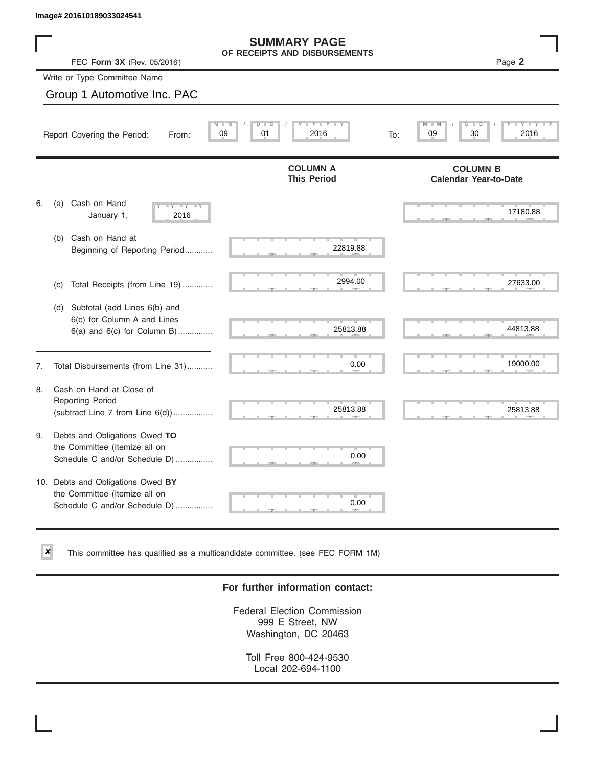$\vert x \vert$ 

|    | Image# 201610189033024541                                                                             |                                                      |     |                                                 |
|----|-------------------------------------------------------------------------------------------------------|------------------------------------------------------|-----|-------------------------------------------------|
|    | FEC Form 3X (Rev. 05/2016)                                                                            | <b>SUMMARY PAGE</b><br>OF RECEIPTS AND DISBURSEMENTS |     | Page 2                                          |
|    | Write or Type Committee Name                                                                          |                                                      |     |                                                 |
|    | Group 1 Automotive Inc. PAC                                                                           |                                                      |     |                                                 |
|    | Report Covering the Period:<br>From:                                                                  | Y L<br>D<br>D<br>01<br>2016<br>09                    | To: | D<br>−<br>2016<br>09<br>30                      |
|    |                                                                                                       | <b>COLUMN A</b><br><b>This Period</b>                |     | <b>COLUMN B</b><br><b>Calendar Year-to-Date</b> |
| 6. | Cash on Hand<br>(a)<br>$-1Y$<br>January 1,<br>2016                                                    |                                                      |     | 17180.88                                        |
|    | (b) Cash on Hand at<br>Beginning of Reporting Period                                                  | 22819.88                                             |     |                                                 |
|    | Total Receipts (from Line 19)<br>(c)                                                                  | 2994.00                                              |     | 27633.00                                        |
|    | Subtotal (add Lines 6(b) and<br>(d)<br>6(c) for Column A and Lines<br>$6(a)$ and $6(c)$ for Column B) | 25813.88                                             |     | 44813.88                                        |
| 7. | Total Disbursements (from Line 31)                                                                    | 0.00                                                 |     | 19000.00                                        |
| 8. | Cash on Hand at Close of<br><b>Reporting Period</b><br>(subtract Line $7$ from Line $6(d)$ )          | 25813.88                                             |     | 25813.88                                        |
| 9. | Debts and Obligations Owed TO<br>the Committee (Itemize all on<br>Schedule C and/or Schedule D)       | 0.00                                                 |     |                                                 |
|    | 10. Debts and Obligations Owed BY<br>the Committee (Itemize all on<br>Schedule C and/or Schedule D)   | 0.00                                                 |     |                                                 |

This committee has qualified as a multicandidate committee. (see FEC FORM 1M)

### **For further information contact:**

Federal Election Commission 999 E Street, NW Washington, DC 20463

Toll Free 800-424-9530 Local 202-694-1100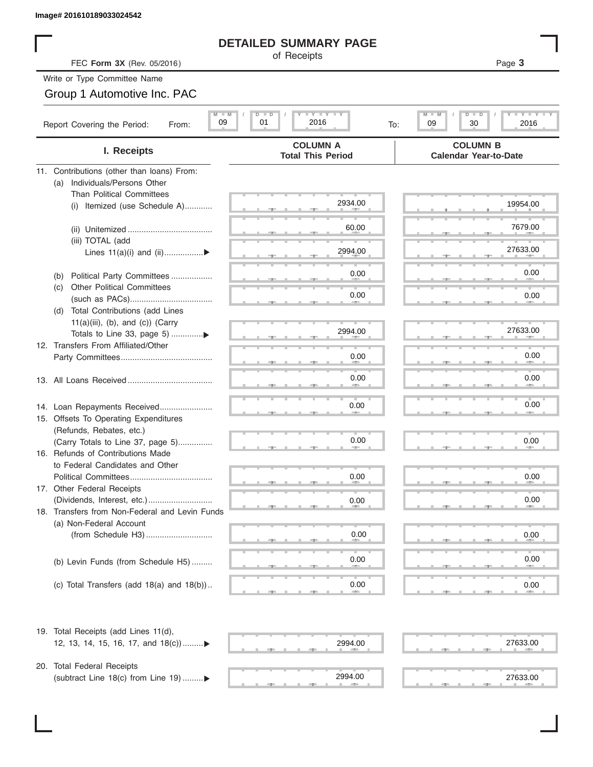### **DETAILED SUMMARY PAGE**

# Group 1 Automotive Inc. PAC

| Image# 201610189033024542                             |                                                          |                                                          |
|-------------------------------------------------------|----------------------------------------------------------|----------------------------------------------------------|
|                                                       | <b>DETAILED SUMMARY PAGE</b>                             |                                                          |
| FEC Form 3X (Rev. 05/2016)                            | of Receipts                                              | Page 3                                                   |
| Write or Type Committee Name                          |                                                          |                                                          |
| Group 1 Automotive Inc. PAC                           |                                                          |                                                          |
| $M$ $M$<br>09<br>Report Covering the Period:<br>From: | $I - Y - I - Y - I - Y$<br>D I<br>ъ<br>01<br>2016<br>To: | M<br><b>LEY LEY LE</b><br>$D$ $\Box$<br>09<br>30<br>2016 |
| I. Receipts                                           | <b>COLUMN A</b><br><b>Total This Period</b>              | <b>COLUMN B</b><br><b>Calendar Year-to-Date</b>          |
| 11. Contributions (other than loans) From:            |                                                          |                                                          |
| Individuals/Persons Other<br>(a)                      |                                                          |                                                          |
| <b>Than Political Committees</b>                      | 2934.00                                                  | 19954.00                                                 |
| Itemized (use Schedule A)<br>(i)                      |                                                          |                                                          |
|                                                       | 60.00                                                    | 7679.00                                                  |
| (iii) TOTAL (add                                      |                                                          |                                                          |
| Lines $11(a)(i)$ and $(ii)$                           | 2994.00                                                  | 27633.00                                                 |
|                                                       |                                                          | 0.00                                                     |
| Political Party Committees<br>(b)                     | 0.00                                                     |                                                          |
| <b>Other Political Committees</b><br>(C)              | 0.00                                                     | 0.00                                                     |
| Total Contributions (add Lines<br>(d)                 |                                                          |                                                          |
| $11(a)(iii)$ , (b), and (c)) (Carry                   |                                                          |                                                          |
|                                                       | 2994.00                                                  | 27633.00                                                 |
| 12. Transfers From Affiliated/Other                   |                                                          |                                                          |
|                                                       | 0.00                                                     | 0.00                                                     |
|                                                       | 0.00                                                     | 0.00                                                     |
|                                                       |                                                          |                                                          |
| 14. Loan Repayments Received                          | 0.00                                                     | 0.00                                                     |
| 15. Offsets To Operating Expenditures                 |                                                          |                                                          |
| (Refunds, Rebates, etc.)                              |                                                          |                                                          |
| (Carry Totals to Line 37, page 5)                     | 0.00                                                     | 0.00                                                     |
| 16. Refunds of Contributions Made                     |                                                          |                                                          |
| to Federal Candidates and Other                       |                                                          |                                                          |
| Political Committees<br>17. Other Federal Receipts    | 0.00                                                     | 0.00                                                     |
|                                                       | 0.00                                                     | 0.00                                                     |
| 18. Transfers from Non-Federal and Levin Funds        |                                                          |                                                          |
| (a) Non-Federal Account                               |                                                          |                                                          |
|                                                       | 0.00                                                     | 0.00                                                     |
|                                                       |                                                          |                                                          |
| (b) Levin Funds (from Schedule H5)                    | 0.00                                                     | 0.00                                                     |
|                                                       |                                                          |                                                          |
| (c) Total Transfers (add $18(a)$ and $18(b)$ )        | 0.00                                                     | 0.00                                                     |
| 19. Total Receipts (add Lines 11(d),                  |                                                          |                                                          |
| 12, 13, 14, 15, 16, 17, and 18(c))                    | 2994.00                                                  | 27633.00                                                 |
| 20. Total Federal Receipts                            |                                                          |                                                          |
| (subtract Line 18(c) from Line 19)▶                   | 2994.00                                                  | 27633.00                                                 |

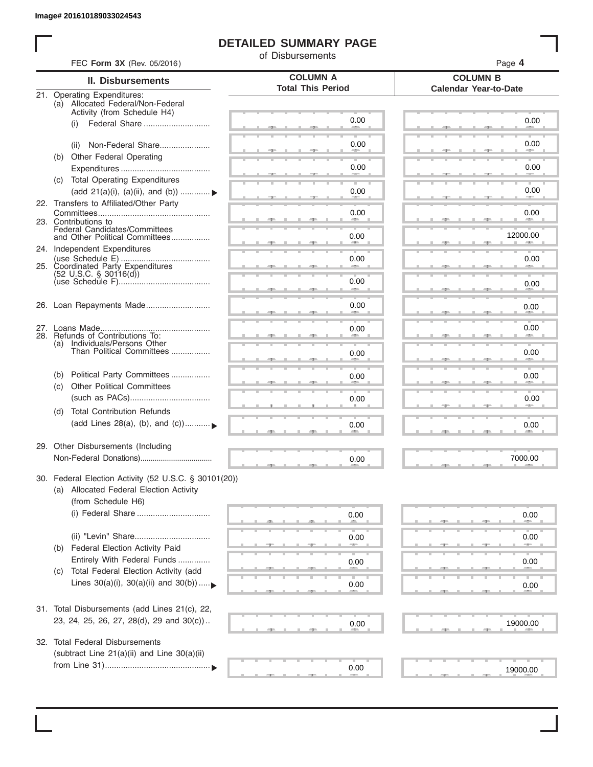I

# **DETAILED SUMMARY PAGE**

of Disbursements

| FEC Form 3X (Rev. 05/2016)                                                                                             |                                             | Page 4                                          |
|------------------------------------------------------------------------------------------------------------------------|---------------------------------------------|-------------------------------------------------|
| II. Disbursements                                                                                                      | <b>COLUMN A</b><br><b>Total This Period</b> | <b>COLUMN B</b><br><b>Calendar Year-to-Date</b> |
| 21. Operating Expenditures:<br>(a) Allocated Federal/Non-Federal<br>Activity (from Schedule H4)                        |                                             |                                                 |
| (i)                                                                                                                    | 0.00                                        | 0.00                                            |
| Non-Federal Share<br>(ii)<br>(b) Other Federal Operating                                                               | 0.00                                        | 0.00                                            |
|                                                                                                                        | 0.00                                        | 0.00                                            |
| (c) Total Operating Expenditures<br>(add 21(a)(i), (a)(ii), and (b))                                                   | 0.00                                        | 0.00                                            |
| 22. Transfers to Affiliated/Other Party                                                                                | 0.00                                        | 0.00                                            |
| 23. Contributions to<br>Federal Candidates/Committees<br>and Other Political Committees                                | 0.00                                        | <b>Allen</b><br>12000.00                        |
| 24. Independent Expenditures                                                                                           | 0.00                                        | 0.00                                            |
| 25. Coordinated Party Expenditures<br>$(52 \text{ U.S.C. }$ § 30116(d))                                                | 0.00                                        | 0.00                                            |
|                                                                                                                        | an a                                        |                                                 |
| 26. Loan Repayments Made                                                                                               | 0.00                                        | 0.00                                            |
| 28. Refunds of Contributions To:<br>(a) Individuals/Persons Other                                                      | 0.00                                        | 0.00                                            |
| Than Political Committees                                                                                              | 0.00                                        | 0.00                                            |
| Political Party Committees<br>(b)<br><b>Other Political Committees</b><br>(c)                                          | 0.00                                        | 0.00                                            |
|                                                                                                                        | 0.00                                        | 0.00                                            |
| <b>Total Contribution Refunds</b><br>(d)<br>(add Lines 28(a), (b), and (c))                                            | 0.00                                        | 0.00                                            |
| 29. Other Disbursements (Including                                                                                     | 0.00                                        | 7000.00                                         |
| 30. Federal Election Activity (52 U.S.C. § 30101(20))<br>(a) Allocated Federal Election Activity<br>(from Schedule H6) |                                             |                                                 |
|                                                                                                                        | 0.00                                        | 0.00                                            |
| Federal Election Activity Paid<br>(b)                                                                                  | 0.00                                        | 0.00                                            |
| Entirely With Federal Funds<br>Total Federal Election Activity (add<br>(C)                                             | 0.00                                        | 0.00                                            |
| Lines $30(a)(i)$ , $30(a)(ii)$ and $30(b))$                                                                            | 0.00                                        | 0.00                                            |
| 31. Total Disbursements (add Lines 21(c), 22,<br>23, 24, 25, 26, 27, 28(d), 29 and 30(c))                              | 0.00                                        | 19000.00                                        |
| 32. Total Federal Disbursements<br>(subtract Line 21(a)(ii) and Line 30(a)(ii)                                         |                                             |                                                 |
|                                                                                                                        | 0.00                                        | 19000.00                                        |
|                                                                                                                        |                                             |                                                 |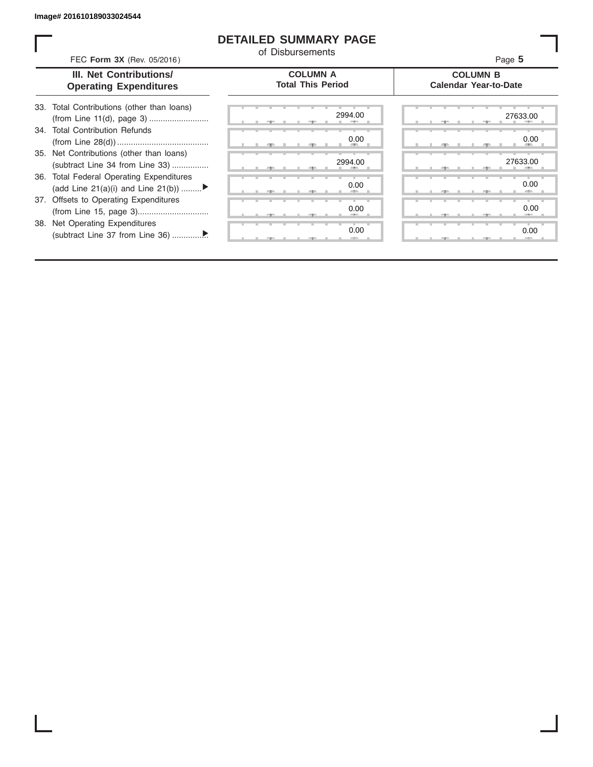I

# **DETAILED SUMMARY PAGE**

of Disbursements

| III. Net Contributions/<br><b>Operating Expenditures</b>                       | <b>COLUMN A</b><br><b>Total This Period</b> | <b>COLUMN B</b><br><b>Calendar Year-to-Date</b> |
|--------------------------------------------------------------------------------|---------------------------------------------|-------------------------------------------------|
| 33. Total Contributions (other than loans)                                     | 2994.00                                     | 27633.00                                        |
| <b>Total Contribution Refunds</b><br>34.                                       | 0.00                                        | 0.00                                            |
| 35. Net Contributions (other than loans)<br>(subtract Line 34 from Line 33)    | 2994.00                                     | 27633.00                                        |
| 36. Total Federal Operating Expenditures<br>(add Line 21(a)(i) and Line 21(b)) | 0.00                                        | 0.00                                            |
| 37. Offsets to Operating Expenditures                                          | 0.00                                        | 0.00                                            |
| 38. Net Operating Expenditures                                                 | 0.00                                        | 0.00                                            |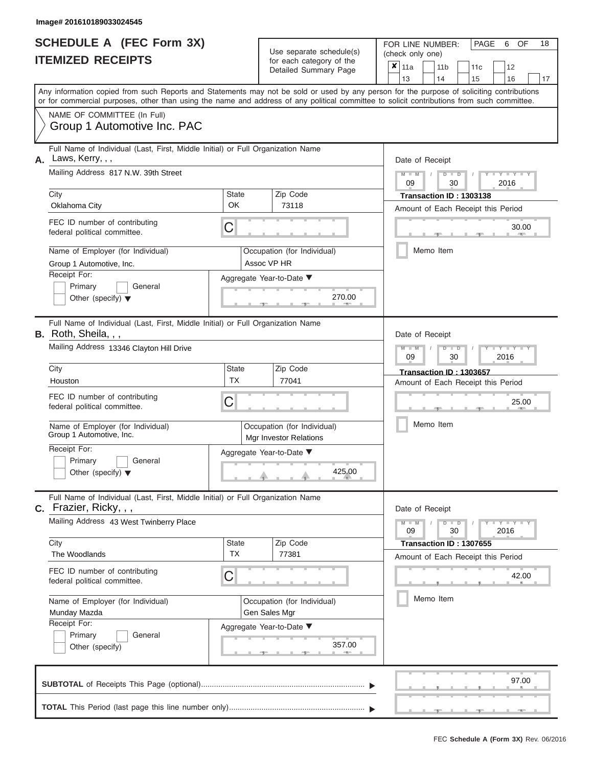|                          | SCHEDULE A (FEC Form 3X) |
|--------------------------|--------------------------|
| <b>ITEMIZED RECEIPTS</b> |                          |

FOR LINE NUMBER:<br>(check only one) Use separate schedule(s)<br>for each category of the<br>Detailed Summary Page Detailed Summary Page 11a 11b 11c<sup>12</sup> ✘

|    |                                                                                                                                                                                                                                                                                         |                    | Detailed Suffifially Fage                                    |                      | 13            | 14                                                        | 15<br>16<br>17                     |  |  |  |  |
|----|-----------------------------------------------------------------------------------------------------------------------------------------------------------------------------------------------------------------------------------------------------------------------------------------|--------------------|--------------------------------------------------------------|----------------------|---------------|-----------------------------------------------------------|------------------------------------|--|--|--|--|
|    | Any information copied from such Reports and Statements may not be sold or used by any person for the purpose of soliciting contributions<br>or for commercial purposes, other than using the name and address of any political committee to solicit contributions from such committee. |                    |                                                              |                      |               |                                                           |                                    |  |  |  |  |
|    | NAME OF COMMITTEE (In Full)<br>Group 1 Automotive Inc. PAC                                                                                                                                                                                                                              |                    |                                                              |                      |               |                                                           |                                    |  |  |  |  |
|    | Full Name of Individual (Last, First, Middle Initial) or Full Organization Name                                                                                                                                                                                                         |                    |                                                              |                      |               |                                                           |                                    |  |  |  |  |
| А. | Laws, Kerry, , ,                                                                                                                                                                                                                                                                        |                    | Date of Receipt                                              |                      |               |                                                           |                                    |  |  |  |  |
|    | Mailing Address 817 N.W. 39th Street                                                                                                                                                                                                                                                    |                    |                                                              |                      | $M - M$<br>09 | $\overline{\mathsf{D}}$<br>$\overline{\phantom{a}}$<br>30 | $Y = Y$<br>2016                    |  |  |  |  |
|    | City                                                                                                                                                                                                                                                                                    | <b>State</b><br>OK | Zip Code                                                     |                      |               | Transaction ID: 1303138                                   |                                    |  |  |  |  |
|    | Oklahoma City                                                                                                                                                                                                                                                                           |                    | 73118                                                        |                      |               |                                                           | Amount of Each Receipt this Period |  |  |  |  |
|    | FEC ID number of contributing<br>federal political committee.                                                                                                                                                                                                                           | C                  |                                                              |                      |               |                                                           | 30.00                              |  |  |  |  |
|    | Name of Employer (for Individual)                                                                                                                                                                                                                                                       |                    | Occupation (for Individual)                                  |                      |               | Memo Item                                                 |                                    |  |  |  |  |
|    | Group 1 Automotive, Inc.                                                                                                                                                                                                                                                                |                    | Assoc VP HR                                                  |                      |               |                                                           |                                    |  |  |  |  |
|    | Receipt For:                                                                                                                                                                                                                                                                            |                    | Aggregate Year-to-Date ▼                                     |                      |               |                                                           |                                    |  |  |  |  |
|    | Primary<br>General                                                                                                                                                                                                                                                                      |                    |                                                              |                      |               |                                                           |                                    |  |  |  |  |
|    | Other (specify) $\blacktriangledown$                                                                                                                                                                                                                                                    |                    |                                                              | 270.00               |               |                                                           |                                    |  |  |  |  |
|    | Full Name of Individual (Last, First, Middle Initial) or Full Organization Name                                                                                                                                                                                                         |                    |                                                              |                      |               |                                                           |                                    |  |  |  |  |
|    | <b>B.</b> Roth, Sheila, , ,                                                                                                                                                                                                                                                             |                    |                                                              |                      |               | Date of Receipt                                           |                                    |  |  |  |  |
|    | Mailing Address 13346 Clayton Hill Drive                                                                                                                                                                                                                                                |                    |                                                              |                      | 09            | D<br>$\Box$<br>30                                         | Y L Y L<br>2016                    |  |  |  |  |
|    | City                                                                                                                                                                                                                                                                                    | <b>State</b>       | Zip Code                                                     |                      |               | Transaction ID: 1303657                                   |                                    |  |  |  |  |
|    | Houston                                                                                                                                                                                                                                                                                 | <b>TX</b>          | 77041                                                        |                      |               |                                                           | Amount of Each Receipt this Period |  |  |  |  |
|    | FEC ID number of contributing<br>federal political committee.                                                                                                                                                                                                                           | С                  |                                                              |                      |               |                                                           | 25.00                              |  |  |  |  |
|    | Name of Employer (for Individual)<br>Group 1 Automotive, Inc.                                                                                                                                                                                                                           |                    | Occupation (for Individual)<br><b>Mgr Investor Relations</b> |                      |               | Memo Item                                                 |                                    |  |  |  |  |
|    | Receipt For:                                                                                                                                                                                                                                                                            |                    | Aggregate Year-to-Date ▼                                     |                      |               |                                                           |                                    |  |  |  |  |
|    | Primary<br>General                                                                                                                                                                                                                                                                      |                    |                                                              |                      |               |                                                           |                                    |  |  |  |  |
|    | Other (specify) $\blacktriangledown$                                                                                                                                                                                                                                                    |                    |                                                              | 425.00               |               |                                                           |                                    |  |  |  |  |
|    | Full Name of Individual (Last, First, Middle Initial) or Full Organization Name<br>Frazier, Ricky, , ,                                                                                                                                                                                  |                    |                                                              |                      |               | Date of Receipt                                           |                                    |  |  |  |  |
|    | Mailing Address 43 West Twinberry Place                                                                                                                                                                                                                                                 |                    |                                                              |                      | $M - M$<br>09 | $D$ $\Box$ $D$<br>30                                      | $Y = Y = Y$<br>т<br>2016           |  |  |  |  |
|    | City                                                                                                                                                                                                                                                                                    | <b>State</b>       | Zip Code                                                     |                      |               | Transaction ID: 1307655                                   |                                    |  |  |  |  |
|    | The Woodlands                                                                                                                                                                                                                                                                           | <b>TX</b>          | 77381                                                        |                      |               |                                                           | Amount of Each Receipt this Period |  |  |  |  |
|    | FEC ID number of contributing<br>federal political committee.                                                                                                                                                                                                                           | С                  |                                                              |                      |               |                                                           | 42.00                              |  |  |  |  |
|    | Name of Employer (for Individual)                                                                                                                                                                                                                                                       |                    | Occupation (for Individual)                                  |                      |               | Memo Item                                                 |                                    |  |  |  |  |
|    | Munday Mazda                                                                                                                                                                                                                                                                            |                    | Gen Sales Mgr                                                |                      |               |                                                           |                                    |  |  |  |  |
|    | Receipt For:                                                                                                                                                                                                                                                                            |                    | Aggregate Year-to-Date ▼                                     |                      |               |                                                           |                                    |  |  |  |  |
|    | Primary<br>General                                                                                                                                                                                                                                                                      |                    |                                                              |                      |               |                                                           |                                    |  |  |  |  |
|    | Other (specify)                                                                                                                                                                                                                                                                         |                    |                                                              | 357.00<br><b>AND</b> |               |                                                           |                                    |  |  |  |  |
|    |                                                                                                                                                                                                                                                                                         |                    |                                                              |                      |               | 一                                                         | 97.00                              |  |  |  |  |

PAGE 6 OF 18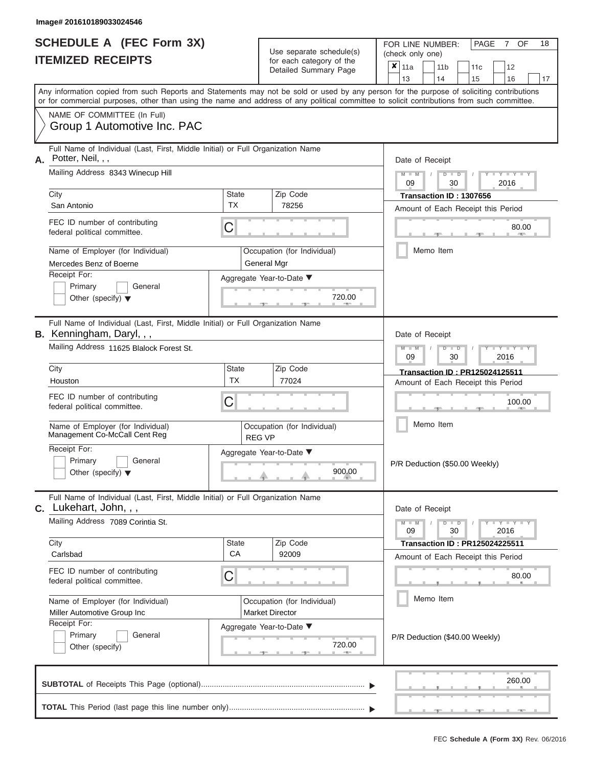|    | <b>SCHEDULE A (FEC Form 3X)</b><br><b>ITEMIZED RECEIPTS</b>                                                                                                                                                                                                                             |                 | Use separate schedule(s)<br>for each category of the | 18<br>PAGE<br>7 OF<br>FOR LINE NUMBER:<br>(check only one)                                                                     |  |  |  |  |  |  |  |  |  |
|----|-----------------------------------------------------------------------------------------------------------------------------------------------------------------------------------------------------------------------------------------------------------------------------------------|-----------------|------------------------------------------------------|--------------------------------------------------------------------------------------------------------------------------------|--|--|--|--|--|--|--|--|--|
|    |                                                                                                                                                                                                                                                                                         |                 | Detailed Summary Page                                | $x \mid$ 11a<br>12<br>11 <sub>b</sub><br>11c                                                                                   |  |  |  |  |  |  |  |  |  |
|    | Any information copied from such Reports and Statements may not be sold or used by any person for the purpose of soliciting contributions<br>or for commercial purposes, other than using the name and address of any political committee to solicit contributions from such committee. |                 |                                                      | 13<br>14<br>15<br>16<br>17                                                                                                     |  |  |  |  |  |  |  |  |  |
|    | NAME OF COMMITTEE (In Full)                                                                                                                                                                                                                                                             |                 |                                                      |                                                                                                                                |  |  |  |  |  |  |  |  |  |
|    | Group 1 Automotive Inc. PAC                                                                                                                                                                                                                                                             |                 |                                                      |                                                                                                                                |  |  |  |  |  |  |  |  |  |
| А. | Full Name of Individual (Last, First, Middle Initial) or Full Organization Name<br>Potter, Neil, , ,                                                                                                                                                                                    | Date of Receipt |                                                      |                                                                                                                                |  |  |  |  |  |  |  |  |  |
|    | Mailing Address 8343 Winecup Hill                                                                                                                                                                                                                                                       |                 |                                                      | $M - M$<br>$\mathbf{I} = \mathbf{Y} - \mathbf{I} = \mathbf{Y} - \mathbf{I} - \mathbf{Y}$<br>$D$ $\Box$ $D$<br>2016<br>09<br>30 |  |  |  |  |  |  |  |  |  |
|    | City                                                                                                                                                                                                                                                                                    | State           | Zip Code                                             | Transaction ID: 1307656                                                                                                        |  |  |  |  |  |  |  |  |  |
|    | San Antonio                                                                                                                                                                                                                                                                             | <b>TX</b>       | 78256                                                | Amount of Each Receipt this Period                                                                                             |  |  |  |  |  |  |  |  |  |
|    | FEC ID number of contributing<br>federal political committee.                                                                                                                                                                                                                           | C               |                                                      | 80.00                                                                                                                          |  |  |  |  |  |  |  |  |  |
|    | Name of Employer (for Individual)                                                                                                                                                                                                                                                       |                 | Occupation (for Individual)                          | Memo Item                                                                                                                      |  |  |  |  |  |  |  |  |  |
|    | Mercedes Benz of Boerne                                                                                                                                                                                                                                                                 |                 | General Mgr                                          |                                                                                                                                |  |  |  |  |  |  |  |  |  |
|    | Receipt For:                                                                                                                                                                                                                                                                            |                 | Aggregate Year-to-Date ▼                             |                                                                                                                                |  |  |  |  |  |  |  |  |  |
|    | Primary<br>General                                                                                                                                                                                                                                                                      |                 |                                                      |                                                                                                                                |  |  |  |  |  |  |  |  |  |
|    | Other (specify) $\blacktriangledown$                                                                                                                                                                                                                                                    |                 | 720.00                                               |                                                                                                                                |  |  |  |  |  |  |  |  |  |
|    | Full Name of Individual (Last, First, Middle Initial) or Full Organization Name<br><b>B.</b> Kenningham, Daryl, , ,                                                                                                                                                                     |                 |                                                      | Date of Receipt                                                                                                                |  |  |  |  |  |  |  |  |  |
|    | Mailing Address 11625 Blalock Forest St.                                                                                                                                                                                                                                                |                 |                                                      | $M - M$<br>Y I Y I<br>$D$ $D$                                                                                                  |  |  |  |  |  |  |  |  |  |
|    |                                                                                                                                                                                                                                                                                         | <b>State</b>    | Zip Code                                             | 09<br>30<br>2016                                                                                                               |  |  |  |  |  |  |  |  |  |
|    | City<br>Houston                                                                                                                                                                                                                                                                         | <b>TX</b>       | 77024                                                | <b>Transaction ID: PR125024125511</b><br>Amount of Each Receipt this Period                                                    |  |  |  |  |  |  |  |  |  |
|    | FEC ID number of contributing                                                                                                                                                                                                                                                           |                 |                                                      |                                                                                                                                |  |  |  |  |  |  |  |  |  |
|    | federal political committee.                                                                                                                                                                                                                                                            | C               |                                                      | 100.00                                                                                                                         |  |  |  |  |  |  |  |  |  |
|    |                                                                                                                                                                                                                                                                                         |                 |                                                      | Memo Item                                                                                                                      |  |  |  |  |  |  |  |  |  |
|    | Name of Employer (for Individual)<br>Management Co-McCall Cent Reg                                                                                                                                                                                                                      |                 | Occupation (for Individual)<br><b>REG VP</b>         |                                                                                                                                |  |  |  |  |  |  |  |  |  |
|    | Receipt For:                                                                                                                                                                                                                                                                            |                 | Aggregate Year-to-Date ▼                             |                                                                                                                                |  |  |  |  |  |  |  |  |  |
|    | <b>Primary</b><br>General                                                                                                                                                                                                                                                               |                 |                                                      | P/R Deduction (\$50.00 Weekly)                                                                                                 |  |  |  |  |  |  |  |  |  |
|    | Other (specify) $\blacktriangledown$                                                                                                                                                                                                                                                    |                 | 900.00                                               |                                                                                                                                |  |  |  |  |  |  |  |  |  |
|    | Full Name of Individual (Last, First, Middle Initial) or Full Organization Name<br><b>C.</b> Lukehart, John, , ,                                                                                                                                                                        |                 |                                                      | Date of Receipt                                                                                                                |  |  |  |  |  |  |  |  |  |
|    | Mailing Address 7089 Corintia St.                                                                                                                                                                                                                                                       |                 |                                                      | $M - M$<br>Y FY FY FY<br>$D$ $D$<br>09<br>30<br>2016                                                                           |  |  |  |  |  |  |  |  |  |
|    | City                                                                                                                                                                                                                                                                                    | State           | Zip Code                                             | <b>Transaction ID: PR125024225511</b>                                                                                          |  |  |  |  |  |  |  |  |  |
|    | Carlsbad                                                                                                                                                                                                                                                                                | CA              | 92009                                                | Amount of Each Receipt this Period                                                                                             |  |  |  |  |  |  |  |  |  |
|    | FEC ID number of contributing                                                                                                                                                                                                                                                           | C               |                                                      | 80.00                                                                                                                          |  |  |  |  |  |  |  |  |  |
|    | federal political committee.                                                                                                                                                                                                                                                            |                 |                                                      |                                                                                                                                |  |  |  |  |  |  |  |  |  |
|    | Name of Employer (for Individual)                                                                                                                                                                                                                                                       |                 | Occupation (for Individual)                          | Memo Item                                                                                                                      |  |  |  |  |  |  |  |  |  |
|    | Miller Automotive Group Inc                                                                                                                                                                                                                                                             |                 | <b>Market Director</b>                               |                                                                                                                                |  |  |  |  |  |  |  |  |  |
|    | Receipt For:                                                                                                                                                                                                                                                                            |                 | Aggregate Year-to-Date ▼                             |                                                                                                                                |  |  |  |  |  |  |  |  |  |
|    | Primary<br>General<br>Other (specify)                                                                                                                                                                                                                                                   |                 | 720.00                                               | P/R Deduction (\$40.00 Weekly)                                                                                                 |  |  |  |  |  |  |  |  |  |
|    |                                                                                                                                                                                                                                                                                         |                 | <b>ARCHITECT</b>                                     |                                                                                                                                |  |  |  |  |  |  |  |  |  |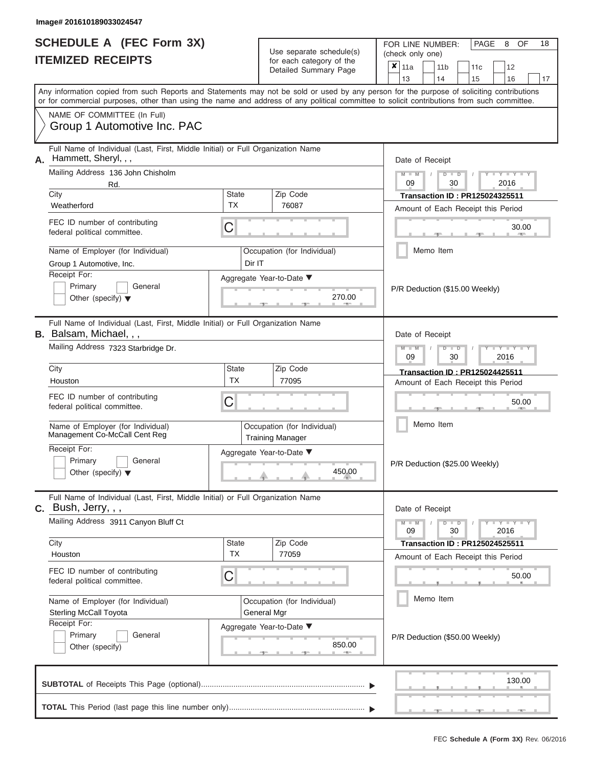|                          | <b>SCHEDULE A (FEC Form 3X)</b> |
|--------------------------|---------------------------------|
| <b>ITEMIZED RECEIPTS</b> |                                 |

FOR LINE NUMBER:<br>(check only one) Use separate schedule(s)<br>for each category of the

|    |                                                                                                                                                 |                    |  | ivi vavii valvyviy vi liiv<br>Detailed Summary Page    | x | 11a             |  | 11 <sub>b</sub><br>14                  | 11c                                   | 12                                                                                                |    |
|----|-------------------------------------------------------------------------------------------------------------------------------------------------|--------------------|--|--------------------------------------------------------|---|-----------------|--|----------------------------------------|---------------------------------------|---------------------------------------------------------------------------------------------------|----|
|    | 13<br>Any information copied from such Reports and Statements may not be sold or used by any person for the purpose of soliciting contributions |                    |  |                                                        |   |                 |  |                                        | 15                                    | 16                                                                                                | 17 |
|    | or for commercial purposes, other than using the name and address of any political committee to solicit contributions from such committee.      |                    |  |                                                        |   |                 |  |                                        |                                       |                                                                                                   |    |
|    | NAME OF COMMITTEE (In Full)                                                                                                                     |                    |  |                                                        |   |                 |  |                                        |                                       |                                                                                                   |    |
|    | Group 1 Automotive Inc. PAC                                                                                                                     |                    |  |                                                        |   |                 |  |                                        |                                       |                                                                                                   |    |
|    | Full Name of Individual (Last, First, Middle Initial) or Full Organization Name<br>Hammett, Sheryl, , ,                                         |                    |  |                                                        |   |                 |  |                                        |                                       |                                                                                                   |    |
| Α. | Mailing Address 136 John Chisholm                                                                                                               |                    |  |                                                        |   | Date of Receipt |  |                                        |                                       |                                                                                                   |    |
|    | Rd.                                                                                                                                             |                    |  |                                                        |   | $M - M$<br>09   |  | $D$ $D$<br>30                          |                                       | $Y - Y - I$<br>2016                                                                               |    |
|    | City                                                                                                                                            | State              |  | Zip Code                                               |   |                 |  |                                        | <b>Transaction ID: PR125024325511</b> |                                                                                                   |    |
|    | Weatherford                                                                                                                                     | <b>TX</b>          |  | 76087                                                  |   |                 |  |                                        | Amount of Each Receipt this Period    |                                                                                                   |    |
|    | FEC ID number of contributing<br>federal political committee.                                                                                   | С                  |  |                                                        |   |                 |  |                                        |                                       | 30.00<br><b>ARCHITECT</b>                                                                         |    |
|    | Name of Employer (for Individual)<br>Group 1 Automotive, Inc.                                                                                   | Dir IT             |  | Occupation (for Individual)                            |   |                 |  | Memo Item                              |                                       |                                                                                                   |    |
|    | Receipt For:                                                                                                                                    |                    |  | Aggregate Year-to-Date ▼                               |   |                 |  |                                        |                                       |                                                                                                   |    |
|    | Primary<br>General                                                                                                                              |                    |  |                                                        |   |                 |  |                                        | P/R Deduction (\$15.00 Weekly)        |                                                                                                   |    |
|    | Other (specify) $\blacktriangledown$                                                                                                            |                    |  | 270.00<br>$-1$                                         |   |                 |  |                                        |                                       |                                                                                                   |    |
|    | Full Name of Individual (Last, First, Middle Initial) or Full Organization Name<br>B. Balsam, Michael, , ,                                      |                    |  |                                                        |   | Date of Receipt |  |                                        |                                       |                                                                                                   |    |
|    | Mailing Address 7323 Starbridge Dr.                                                                                                             |                    |  |                                                        |   | $M - M$         |  | $D$ $D$                                |                                       | $Y = Y$                                                                                           |    |
|    |                                                                                                                                                 |                    |  |                                                        |   | 09              |  | 30                                     |                                       | 2016                                                                                              |    |
|    | City<br>Houston                                                                                                                                 | State<br><b>TX</b> |  | Zip Code<br>77095                                      |   |                 |  |                                        | Transaction ID: PR125024425511        |                                                                                                   |    |
|    |                                                                                                                                                 |                    |  |                                                        |   |                 |  |                                        | Amount of Each Receipt this Period    |                                                                                                   |    |
|    | FEC ID number of contributing<br>federal political committee.                                                                                   | С                  |  |                                                        |   |                 |  |                                        |                                       | 50.00                                                                                             |    |
|    | Name of Employer (for Individual)<br>Management Co-McCall Cent Reg                                                                              |                    |  | Occupation (for Individual)<br><b>Training Manager</b> |   |                 |  | Memo Item                              |                                       |                                                                                                   |    |
|    | Receipt For:                                                                                                                                    |                    |  | Aggregate Year-to-Date ▼                               |   |                 |  |                                        |                                       |                                                                                                   |    |
|    | Primary<br>General<br>Other (specify) $\blacktriangledown$                                                                                      |                    |  | 450.00                                                 |   |                 |  |                                        | P/R Deduction (\$25.00 Weekly)        |                                                                                                   |    |
|    | Full Name of Individual (Last, First, Middle Initial) or Full Organization Name<br>$C.$ Bush, Jerry, , ,                                        |                    |  |                                                        |   | Date of Receipt |  |                                        |                                       |                                                                                                   |    |
|    | Mailing Address 3911 Canyon Bluff Ct                                                                                                            |                    |  |                                                        |   | $M - M$<br>09   |  | $\overline{D}$<br>$\blacksquare$<br>30 |                                       | $\blacksquare$ $\blacksquare$ $\blacksquare$ $\blacksquare$ $\blacksquare$ $\blacksquare$<br>2016 |    |
|    | City                                                                                                                                            | State              |  | Zip Code                                               |   |                 |  |                                        | <b>Transaction ID: PR125024525511</b> |                                                                                                   |    |
|    | Houston                                                                                                                                         | <b>TX</b>          |  | 77059                                                  |   |                 |  |                                        | Amount of Each Receipt this Period    |                                                                                                   |    |
|    | FEC ID number of contributing<br>federal political committee.                                                                                   | С                  |  |                                                        |   |                 |  |                                        |                                       | 50.00                                                                                             |    |
|    | Name of Employer (for Individual)                                                                                                               |                    |  | Occupation (for Individual)                            |   |                 |  | Memo Item                              |                                       |                                                                                                   |    |
|    | <b>Sterling McCall Toyota</b>                                                                                                                   |                    |  | General Mgr                                            |   |                 |  |                                        |                                       |                                                                                                   |    |
|    | Receipt For:<br>Primary<br>General                                                                                                              |                    |  | Aggregate Year-to-Date ▼                               |   |                 |  |                                        | P/R Deduction (\$50.00 Weekly)        |                                                                                                   |    |
|    | Other (specify)                                                                                                                                 |                    |  | 850.00                                                 |   |                 |  |                                        |                                       |                                                                                                   |    |
|    |                                                                                                                                                 |                    |  |                                                        |   |                 |  |                                        |                                       | 130.00                                                                                            |    |
|    |                                                                                                                                                 |                    |  |                                                        |   |                 |  |                                        |                                       |                                                                                                   |    |
|    |                                                                                                                                                 |                    |  |                                                        |   |                 |  |                                        |                                       |                                                                                                   |    |

PAGE 8 OF 18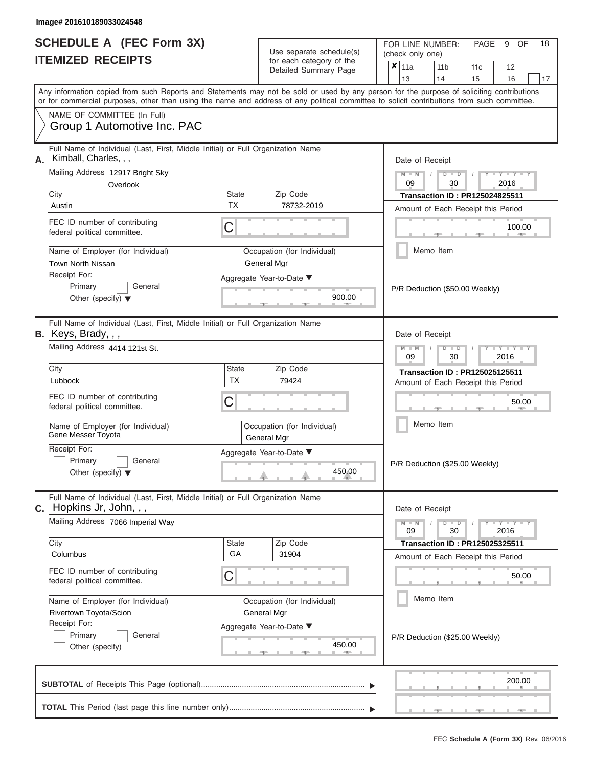| <b>SCHEDULE A (FEC Form 3X)</b> |  |  |
|---------------------------------|--|--|
| <b>ITEMIZED RECEIPTS</b>        |  |  |

FOR LINE NUMBER: PAGE<br>
(check only one) Use separate schedule(s)

|                         | <u>IIEMIZED REVEIFIJ</u>                                                                                                                                                                                                                                                                |                    | for each category of the<br>Detailed Summary Page |               |                                | $\pmb{\times}$<br>11a |  | 11 <sub>b</sub> |    | 11c                                   |      | 12                      |    |  |
|-------------------------|-----------------------------------------------------------------------------------------------------------------------------------------------------------------------------------------------------------------------------------------------------------------------------------------|--------------------|---------------------------------------------------|---------------|--------------------------------|-----------------------|--|-----------------|----|---------------------------------------|------|-------------------------|----|--|
|                         |                                                                                                                                                                                                                                                                                         |                    |                                                   |               |                                | 13                    |  | 14              |    | 15                                    |      | 16                      | 17 |  |
|                         | Any information copied from such Reports and Statements may not be sold or used by any person for the purpose of soliciting contributions<br>or for commercial purposes, other than using the name and address of any political committee to solicit contributions from such committee. |                    |                                                   |               |                                |                       |  |                 |    |                                       |      |                         |    |  |
|                         | NAME OF COMMITTEE (In Full)                                                                                                                                                                                                                                                             |                    |                                                   |               |                                |                       |  |                 |    |                                       |      |                         |    |  |
|                         | Group 1 Automotive Inc. PAC                                                                                                                                                                                                                                                             |                    |                                                   |               |                                |                       |  |                 |    |                                       |      |                         |    |  |
| А.                      | Full Name of Individual (Last, First, Middle Initial) or Full Organization Name<br>Kimball, Charles, , ,                                                                                                                                                                                |                    |                                                   |               |                                | Date of Receipt       |  |                 |    |                                       |      |                         |    |  |
|                         | Mailing Address 12917 Bright Sky<br>Overlook                                                                                                                                                                                                                                            |                    |                                                   |               |                                | $M - M$<br>09         |  | $D$ $\Box$ $D$  | 30 |                                       |      | $Y - Y - Y$<br>2016     |    |  |
| City                    |                                                                                                                                                                                                                                                                                         | State<br><b>TX</b> | Zip Code                                          |               |                                |                       |  |                 |    | <b>Transaction ID: PR125024825511</b> |      |                         |    |  |
| Austin                  |                                                                                                                                                                                                                                                                                         |                    | 78732-2019                                        |               |                                |                       |  |                 |    | Amount of Each Receipt this Period    |      |                         |    |  |
|                         | FEC ID number of contributing<br>federal political committee.                                                                                                                                                                                                                           | $\mathsf C$        |                                                   |               |                                |                       |  |                 |    |                                       |      | 100.00<br>$\sim 0.01$   |    |  |
| Town North Nissan       | Name of Employer (for Individual)                                                                                                                                                                                                                                                       |                    | Occupation (for Individual)<br>General Mgr        |               |                                |                       |  | Memo Item       |    |                                       |      |                         |    |  |
| Receipt For:            |                                                                                                                                                                                                                                                                                         |                    | Aggregate Year-to-Date ▼                          |               |                                |                       |  |                 |    |                                       |      |                         |    |  |
| Primary                 | General<br>Other (specify) $\blacktriangledown$                                                                                                                                                                                                                                         |                    |                                                   | 900.00        | P/R Deduction (\$50.00 Weekly) |                       |  |                 |    |                                       |      |                         |    |  |
| B. Keys, Brady, , ,     | Full Name of Individual (Last, First, Middle Initial) or Full Organization Name                                                                                                                                                                                                         |                    |                                                   |               | Date of Receipt                |                       |  |                 |    |                                       |      |                         |    |  |
|                         | Mailing Address 4414 121st St.                                                                                                                                                                                                                                                          |                    |                                                   |               |                                | $M - M$<br>09         |  | $D$ $D$         | 30 |                                       | 2016 | $T - Y = T - Y = T - Y$ |    |  |
| City                    |                                                                                                                                                                                                                                                                                         | State              | Zip Code                                          |               |                                |                       |  |                 |    | <b>Transaction ID: PR125025125511</b> |      |                         |    |  |
| Lubbock                 |                                                                                                                                                                                                                                                                                         | <b>TX</b>          | 79424                                             |               |                                |                       |  |                 |    | Amount of Each Receipt this Period    |      |                         |    |  |
|                         | FEC ID number of contributing<br>federal political committee.                                                                                                                                                                                                                           | C                  |                                                   |               |                                |                       |  |                 |    |                                       |      | 50.00                   |    |  |
|                         | Name of Employer (for Individual)<br>Gene Messer Toyota                                                                                                                                                                                                                                 |                    | Occupation (for Individual)<br>General Mgr        |               |                                |                       |  | Memo Item       |    |                                       |      |                         |    |  |
| Receipt For:<br>Primary | General<br>Other (specify) $\blacktriangledown$                                                                                                                                                                                                                                         |                    | Aggregate Year-to-Date ▼<br>450.00                |               | P/R Deduction (\$25.00 Weekly) |                       |  |                 |    |                                       |      |                         |    |  |
|                         | Full Name of Individual (Last, First, Middle Initial) or Full Organization Name<br><b>C.</b> Hopkins Jr, John, $,$                                                                                                                                                                      |                    |                                                   |               |                                | Date of Receipt       |  |                 |    |                                       |      |                         |    |  |
|                         | Mailing Address 7066 Imperial Way                                                                                                                                                                                                                                                       |                    |                                                   |               |                                | $M - M$<br>09         |  | $D$ $\Box$ $D$  | 30 |                                       | 2016 | $Y - Y - Y - Y - Y$     |    |  |
| City                    |                                                                                                                                                                                                                                                                                         | <b>State</b>       | Zip Code                                          |               |                                |                       |  |                 |    | <b>Transaction ID: PR125025325511</b> |      |                         |    |  |
| Columbus                |                                                                                                                                                                                                                                                                                         | GA                 | 31904                                             |               |                                |                       |  |                 |    | Amount of Each Receipt this Period    |      |                         |    |  |
|                         | FEC ID number of contributing<br>federal political committee.                                                                                                                                                                                                                           | C                  |                                                   |               |                                |                       |  |                 |    |                                       |      | 50.00                   |    |  |
|                         | Name of Employer (for Individual)<br>Rivertown Toyota/Scion                                                                                                                                                                                                                             |                    | Occupation (for Individual)<br>General Mgr        |               |                                |                       |  | Memo Item       |    |                                       |      |                         |    |  |
| Receipt For:<br>Primary | General<br>Other (specify)                                                                                                                                                                                                                                                              |                    | Aggregate Year-to-Date ▼                          | 450.00<br>$-$ |                                |                       |  |                 |    | P/R Deduction (\$25.00 Weekly)        |      |                         |    |  |
|                         |                                                                                                                                                                                                                                                                                         |                    |                                                   |               |                                |                       |  |                 |    |                                       |      | 200.00                  |    |  |
|                         |                                                                                                                                                                                                                                                                                         |                    |                                                   |               |                                |                       |  |                 |    |                                       |      |                         |    |  |

9 OF 18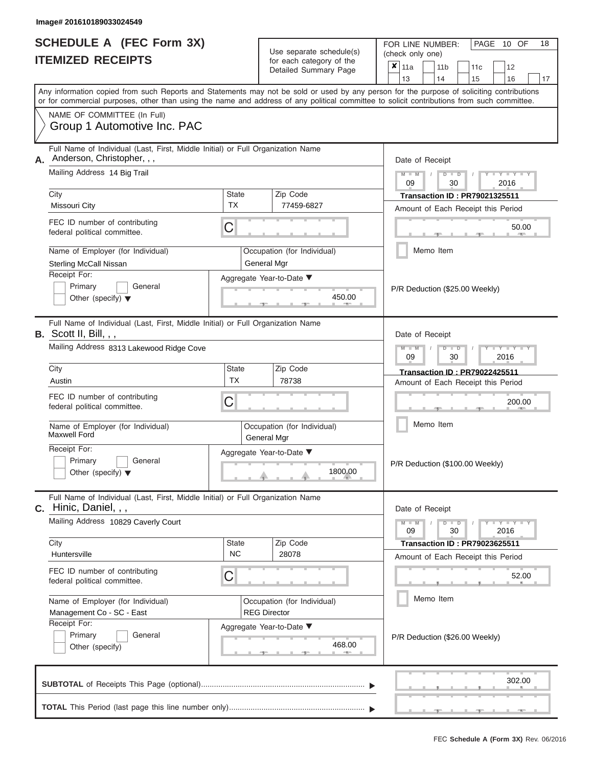|                          | <b>SCHEDULE A (FEC Form 3X)</b> |
|--------------------------|---------------------------------|
| <b>ITEMIZED RECEIPTS</b> |                                 |

FOR LINE NUMBER:<br>(check only one) Use separate schedule(s)<br>for each category of the

|    | LIILLLV ILLVLII I                                                                                                                                                                                                                                                                       |                                                    | iui cauli ualcyuly ul lilc<br>Detailed Summary Page                        | x                               | 11a<br>13       |           | 11 <sub>b</sub><br>14          |               | 11c                                                                         |    | 12                  |  |  |  |  |  |  |  |  |
|----|-----------------------------------------------------------------------------------------------------------------------------------------------------------------------------------------------------------------------------------------------------------------------------------------|----------------------------------------------------|----------------------------------------------------------------------------|---------------------------------|-----------------|-----------|--------------------------------|---------------|-----------------------------------------------------------------------------|----|---------------------|--|--|--|--|--|--|--|--|
|    | Any information copied from such Reports and Statements may not be sold or used by any person for the purpose of soliciting contributions<br>or for commercial purposes, other than using the name and address of any political committee to solicit contributions from such committee. |                                                    |                                                                            |                                 |                 |           | 15                             |               | 16                                                                          | 17 |                     |  |  |  |  |  |  |  |  |
|    | NAME OF COMMITTEE (In Full)<br>Group 1 Automotive Inc. PAC                                                                                                                                                                                                                              |                                                    |                                                                            |                                 |                 |           |                                |               |                                                                             |    |                     |  |  |  |  |  |  |  |  |
| А. | Full Name of Individual (Last, First, Middle Initial) or Full Organization Name<br>Anderson, Christopher, , ,<br>Mailing Address 14 Big Trail                                                                                                                                           |                                                    | Date of Receipt<br>$M - M$<br>$D$ $\Box$ $D$<br>09<br>30<br>2016           |                                 |                 |           |                                |               |                                                                             |    |                     |  |  |  |  |  |  |  |  |
|    | City<br>Missouri City                                                                                                                                                                                                                                                                   | Zip Code<br>State<br><b>TX</b><br>77459-6827       |                                                                            |                                 |                 |           |                                |               | <b>Transaction ID: PR79021325511</b><br>Amount of Each Receipt this Period  |    |                     |  |  |  |  |  |  |  |  |
|    | FEC ID number of contributing<br>federal political committee.                                                                                                                                                                                                                           | C                                                  |                                                                            |                                 |                 |           |                                |               |                                                                             |    | 50.00               |  |  |  |  |  |  |  |  |
|    | Name of Employer (for Individual)<br><b>Sterling McCall Nissan</b>                                                                                                                                                                                                                      |                                                    | Occupation (for Individual)<br>General Mgr                                 |                                 |                 |           | Memo Item                      |               |                                                                             |    |                     |  |  |  |  |  |  |  |  |
|    | Receipt For:<br>Primary<br>General<br>Other (specify) $\blacktriangledown$                                                                                                                                                                                                              |                                                    |                                                                            |                                 |                 |           | P/R Deduction (\$25.00 Weekly) |               |                                                                             |    |                     |  |  |  |  |  |  |  |  |
|    | Full Name of Individual (Last, First, Middle Initial) or Full Organization Name<br><b>B.</b> Scott II, Bill, , ,<br>Date of Receipt                                                                                                                                                     |                                                    |                                                                            |                                 |                 |           |                                |               |                                                                             |    |                     |  |  |  |  |  |  |  |  |
|    | Mailing Address 8313 Lakewood Ridge Cove                                                                                                                                                                                                                                                |                                                    | $M - M$<br>$D$ $D$<br>$-Y$<br>09<br>30<br>2016                             |                                 |                 |           |                                |               |                                                                             |    |                     |  |  |  |  |  |  |  |  |
|    | City<br>Austin                                                                                                                                                                                                                                                                          | <b>State</b><br><b>TX</b>                          | <b>Transaction ID: PR79022425511</b><br>Amount of Each Receipt this Period |                                 |                 |           |                                |               |                                                                             |    |                     |  |  |  |  |  |  |  |  |
|    | FEC ID number of contributing<br>federal political committee.                                                                                                                                                                                                                           | C                                                  |                                                                            | 200.00                          |                 |           |                                |               |                                                                             |    |                     |  |  |  |  |  |  |  |  |
|    | Name of Employer (for Individual)<br><b>Maxwell Ford</b>                                                                                                                                                                                                                                |                                                    | Occupation (for Individual)<br>General Mgr                                 |                                 |                 |           | Memo Item                      |               |                                                                             |    |                     |  |  |  |  |  |  |  |  |
|    | Receipt For:<br>Primary<br>General<br>Other (specify) $\blacktriangledown$                                                                                                                                                                                                              | Aggregate Year-to-Date ▼                           |                                                                            | P/R Deduction (\$100.00 Weekly) |                 |           |                                |               |                                                                             |    |                     |  |  |  |  |  |  |  |  |
| С. | Full Name of Individual (Last, First, Middle Initial) or Full Organization Name<br>Hinic, Daniel, , ,                                                                                                                                                                                   |                                                    |                                                                            |                                 | Date of Receipt |           |                                |               |                                                                             |    |                     |  |  |  |  |  |  |  |  |
|    | Mailing Address 10829 Caverly Court                                                                                                                                                                                                                                                     |                                                    |                                                                            |                                 | $M - M$<br>09   |           |                                | $D$ $D$<br>30 |                                                                             |    | $Y - Y - Y$<br>2016 |  |  |  |  |  |  |  |  |
|    | City<br>Huntersville                                                                                                                                                                                                                                                                    | State<br><b>NC</b>                                 | Zip Code<br>28078                                                          |                                 |                 |           |                                |               | <b>Transaction ID : PR79023625511</b><br>Amount of Each Receipt this Period |    |                     |  |  |  |  |  |  |  |  |
|    | FEC ID number of contributing<br>federal political committee.                                                                                                                                                                                                                           | С                                                  |                                                                            |                                 |                 |           |                                |               |                                                                             |    | 52.00               |  |  |  |  |  |  |  |  |
|    | Name of Employer (for Individual)<br>Management Co - SC - East                                                                                                                                                                                                                          | Occupation (for Individual)<br><b>REG Director</b> |                                                                            |                                 |                 | Memo Item |                                |               |                                                                             |    |                     |  |  |  |  |  |  |  |  |
|    | Receipt For:<br>Primary<br>General<br>Other (specify)                                                                                                                                                                                                                                   |                                                    | Aggregate Year-to-Date ▼<br>468.00                                         |                                 |                 |           |                                |               | P/R Deduction (\$26.00 Weekly)                                              |    |                     |  |  |  |  |  |  |  |  |
|    |                                                                                                                                                                                                                                                                                         |                                                    |                                                                            |                                 |                 |           |                                |               |                                                                             |    | 302.00              |  |  |  |  |  |  |  |  |
|    |                                                                                                                                                                                                                                                                                         |                                                    |                                                                            |                                 |                 |           |                                |               |                                                                             |    |                     |  |  |  |  |  |  |  |  |

PAGE 10 OF 18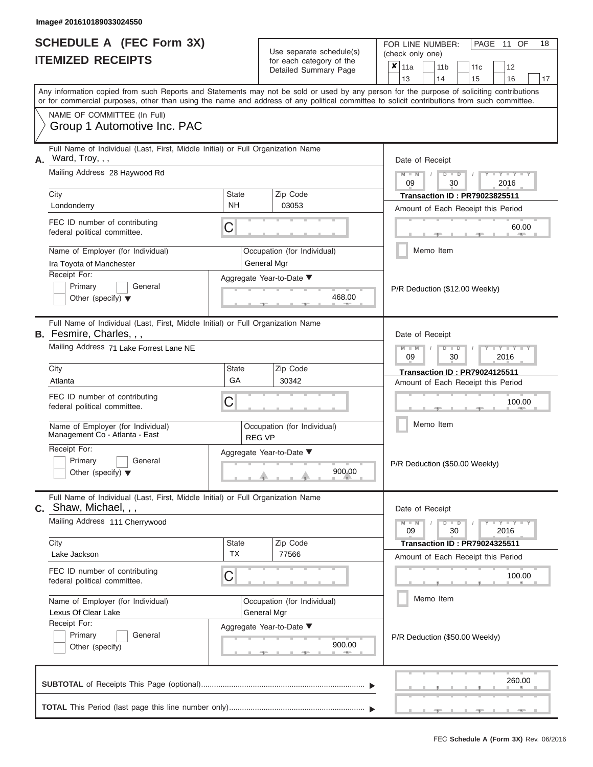|                                                                     | image# 201010109033024330                                                                                                                                                                                                                                                                                                                             |                    |                                                            |                                |                                                          |                 |                                      |                                                             |    |  |  |  |
|---------------------------------------------------------------------|-------------------------------------------------------------------------------------------------------------------------------------------------------------------------------------------------------------------------------------------------------------------------------------------------------------------------------------------------------|--------------------|------------------------------------------------------------|--------------------------------|----------------------------------------------------------|-----------------|--------------------------------------|-------------------------------------------------------------|----|--|--|--|
| <b>SCHEDULE A (FEC Form 3X)</b><br><b>ITEMIZED RECEIPTS</b>         |                                                                                                                                                                                                                                                                                                                                                       |                    | Use separate schedule(s)                                   |                                | PAGE 11 OF<br>18<br>FOR LINE NUMBER:<br>(check only one) |                 |                                      |                                                             |    |  |  |  |
|                                                                     |                                                                                                                                                                                                                                                                                                                                                       |                    | for each category of the<br>Detailed Summary Page          | $\boldsymbol{x}$               | 11a                                                      | 11 <sub>b</sub> | 11c                                  | 12                                                          |    |  |  |  |
|                                                                     |                                                                                                                                                                                                                                                                                                                                                       |                    |                                                            |                                | 13                                                       | 14              | 15                                   | 16                                                          | 17 |  |  |  |
|                                                                     | Any information copied from such Reports and Statements may not be sold or used by any person for the purpose of soliciting contributions<br>or for commercial purposes, other than using the name and address of any political committee to solicit contributions from such committee.<br>NAME OF COMMITTEE (In Full)<br>Group 1 Automotive Inc. PAC |                    |                                                            |                                |                                                          |                 |                                      |                                                             |    |  |  |  |
|                                                                     | Full Name of Individual (Last, First, Middle Initial) or Full Organization Name<br>$A.$ Ward, Troy, , ,                                                                                                                                                                                                                                               |                    |                                                            | Date of Receipt                |                                                          |                 |                                      |                                                             |    |  |  |  |
|                                                                     | Mailing Address 28 Haywood Rd                                                                                                                                                                                                                                                                                                                         |                    |                                                            |                                | $M - M$<br>09                                            | $D$ $D$<br>30   |                                      | $+$ $+$ $+$ $+$ $+$<br>2016                                 |    |  |  |  |
|                                                                     | City                                                                                                                                                                                                                                                                                                                                                  | <b>State</b>       | Zip Code                                                   |                                |                                                          |                 | <b>Transaction ID: PR79023825511</b> |                                                             |    |  |  |  |
|                                                                     | Londonderry                                                                                                                                                                                                                                                                                                                                           | <b>NH</b>          | 03053                                                      |                                |                                                          |                 | Amount of Each Receipt this Period   |                                                             |    |  |  |  |
|                                                                     | FEC ID number of contributing<br>federal political committee.                                                                                                                                                                                                                                                                                         | С                  |                                                            |                                |                                                          |                 |                                      | 60.00                                                       |    |  |  |  |
|                                                                     | Name of Employer (for Individual)                                                                                                                                                                                                                                                                                                                     |                    | Occupation (for Individual)                                |                                |                                                          | Memo Item       |                                      |                                                             |    |  |  |  |
|                                                                     | Ira Toyota of Manchester<br>Receipt For:<br>Primary<br>General<br>Other (specify) $\blacktriangledown$                                                                                                                                                                                                                                                |                    | General Mgr<br>Aggregate Year-to-Date ▼<br>468.00<br>一     | P/R Deduction (\$12.00 Weekly) |                                                          |                 |                                      |                                                             |    |  |  |  |
|                                                                     | Full Name of Individual (Last, First, Middle Initial) or Full Organization Name<br>B. Fesmire, Charles, , ,<br>Mailing Address 71 Lake Forrest Lane NE                                                                                                                                                                                                |                    |                                                            |                                | Date of Receipt<br>$M -$<br>09                           | $D$ $D$         | 30                                   | $\mathbf{I} = \mathbf{Y} + \mathbf{I} + \mathbf{I}$<br>2016 |    |  |  |  |
|                                                                     | City                                                                                                                                                                                                                                                                                                                                                  | <b>State</b><br>GA | Zip Code                                                   |                                |                                                          |                 | <b>Transaction ID: PR79024125511</b> |                                                             |    |  |  |  |
|                                                                     | Atlanta                                                                                                                                                                                                                                                                                                                                               |                    | 30342                                                      |                                |                                                          |                 | Amount of Each Receipt this Period   |                                                             |    |  |  |  |
|                                                                     | FEC ID number of contributing<br>federal political committee.                                                                                                                                                                                                                                                                                         | С                  |                                                            |                                |                                                          |                 |                                      | 100.00                                                      |    |  |  |  |
| Name of Employer (for Individual)<br>Management Co - Atlanta - East |                                                                                                                                                                                                                                                                                                                                                       |                    | Occupation (for Individual)<br><b>REG VP</b>               |                                | Memo Item                                                |                 |                                      |                                                             |    |  |  |  |
|                                                                     | Receipt For:<br>Primary<br>General<br>Other (specify) $\blacktriangledown$                                                                                                                                                                                                                                                                            |                    | Aggregate Year-to-Date ▼<br>900.00                         |                                | P/R Deduction (\$50.00 Weekly)                           |                 |                                      |                                                             |    |  |  |  |
|                                                                     | Full Name of Individual (Last, First, Middle Initial) or Full Organization Name<br>C. Shaw, Michael, , ,                                                                                                                                                                                                                                              |                    |                                                            |                                | Date of Receipt                                          |                 |                                      |                                                             |    |  |  |  |
|                                                                     | Mailing Address 111 Cherrywood                                                                                                                                                                                                                                                                                                                        |                    |                                                            |                                | $M - M$<br>09                                            | $D$ $D$         | 30                                   | $Y - Y -$<br>2016                                           |    |  |  |  |
|                                                                     | City                                                                                                                                                                                                                                                                                                                                                  | <b>State</b>       | Zip Code                                                   |                                |                                                          |                 | <b>Transaction ID: PR79024325511</b> |                                                             |    |  |  |  |
|                                                                     | Lake Jackson                                                                                                                                                                                                                                                                                                                                          | <b>TX</b>          | 77566                                                      |                                |                                                          |                 | Amount of Each Receipt this Period   |                                                             |    |  |  |  |
|                                                                     | FEC ID number of contributing<br>federal political committee.                                                                                                                                                                                                                                                                                         | С                  |                                                            |                                | 100.00                                                   |                 |                                      |                                                             |    |  |  |  |
|                                                                     | Name of Employer (for Individual)<br>Lexus Of Clear Lake                                                                                                                                                                                                                                                                                              |                    | Occupation (for Individual)<br>General Mgr                 |                                |                                                          | Memo Item       |                                      |                                                             |    |  |  |  |
|                                                                     | Receipt For:<br>Primary<br>General<br>Other (specify)                                                                                                                                                                                                                                                                                                 |                    | Aggregate Year-to-Date ▼<br>900.00<br>$-$<br>$\rightarrow$ |                                |                                                          |                 | P/R Deduction (\$50.00 Weekly)       |                                                             |    |  |  |  |

 ▲ ▲ ▲ , , . , , . 260.00**SUBTOTAL** of Receipts This Page (optional)............................................................................ **TOTAL** This Period (last page this line number only)............................................................... ▼ ▼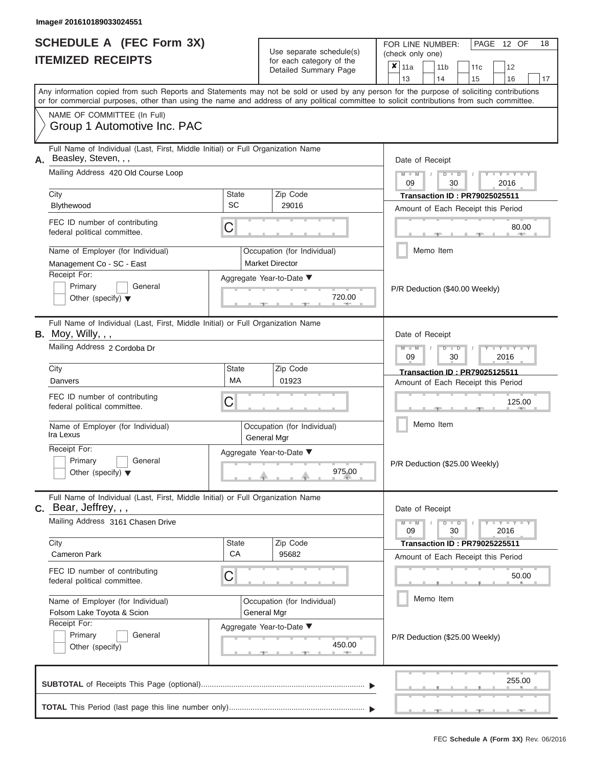| SCHEDULE A (FEC Form 3X) |  |
|--------------------------|--|
| <b>ITEMIZED RECEIPTS</b> |  |

FOR LINE NUMBER:<br>(check only one) Use separate schedule(s)<br>for each category of the

| Any information copied from such Reports and Statements may not be sold or used by any person for the purpose of soliciting contributions<br>or for commercial purposes, other than using the name and address of any political committee to solicit contributions from such committee.<br>NAME OF COMMITTEE (In Full)<br>Group 1 Automotive Inc. PAC<br>Full Name of Individual (Last, First, Middle Initial) or Full Organization Name<br>Beasley, Steven, , ,<br>Mailing Address 420 Old Course Loop<br>City<br>State<br>SC<br>Blythewood<br>FEC ID number of contributing<br>C<br>federal political committee.<br>Name of Employer (for Individual)<br>Management Co - SC - East<br>Receipt For: | Zip Code<br>29016<br>Occupation (for Individual)<br><b>Market Director</b><br>Aggregate Year-to-Date ▼ | 13<br>14<br>15<br>16<br>Date of Receipt<br>$M$ $M$ $I$<br>$D$ $D$<br>$Y - Y - I$<br>09<br>2016<br>30<br><b>Transaction ID: PR79025025511</b><br>Amount of Each Receipt this Period<br>80.00<br>Memo Item |  |  |  |  |  |  |  |
|------------------------------------------------------------------------------------------------------------------------------------------------------------------------------------------------------------------------------------------------------------------------------------------------------------------------------------------------------------------------------------------------------------------------------------------------------------------------------------------------------------------------------------------------------------------------------------------------------------------------------------------------------------------------------------------------------|--------------------------------------------------------------------------------------------------------|----------------------------------------------------------------------------------------------------------------------------------------------------------------------------------------------------------|--|--|--|--|--|--|--|
|                                                                                                                                                                                                                                                                                                                                                                                                                                                                                                                                                                                                                                                                                                      |                                                                                                        |                                                                                                                                                                                                          |  |  |  |  |  |  |  |
|                                                                                                                                                                                                                                                                                                                                                                                                                                                                                                                                                                                                                                                                                                      |                                                                                                        |                                                                                                                                                                                                          |  |  |  |  |  |  |  |
|                                                                                                                                                                                                                                                                                                                                                                                                                                                                                                                                                                                                                                                                                                      |                                                                                                        |                                                                                                                                                                                                          |  |  |  |  |  |  |  |
|                                                                                                                                                                                                                                                                                                                                                                                                                                                                                                                                                                                                                                                                                                      |                                                                                                        |                                                                                                                                                                                                          |  |  |  |  |  |  |  |
|                                                                                                                                                                                                                                                                                                                                                                                                                                                                                                                                                                                                                                                                                                      |                                                                                                        |                                                                                                                                                                                                          |  |  |  |  |  |  |  |
|                                                                                                                                                                                                                                                                                                                                                                                                                                                                                                                                                                                                                                                                                                      |                                                                                                        |                                                                                                                                                                                                          |  |  |  |  |  |  |  |
|                                                                                                                                                                                                                                                                                                                                                                                                                                                                                                                                                                                                                                                                                                      |                                                                                                        |                                                                                                                                                                                                          |  |  |  |  |  |  |  |
|                                                                                                                                                                                                                                                                                                                                                                                                                                                                                                                                                                                                                                                                                                      |                                                                                                        |                                                                                                                                                                                                          |  |  |  |  |  |  |  |
|                                                                                                                                                                                                                                                                                                                                                                                                                                                                                                                                                                                                                                                                                                      |                                                                                                        |                                                                                                                                                                                                          |  |  |  |  |  |  |  |
|                                                                                                                                                                                                                                                                                                                                                                                                                                                                                                                                                                                                                                                                                                      |                                                                                                        |                                                                                                                                                                                                          |  |  |  |  |  |  |  |
|                                                                                                                                                                                                                                                                                                                                                                                                                                                                                                                                                                                                                                                                                                      |                                                                                                        |                                                                                                                                                                                                          |  |  |  |  |  |  |  |
|                                                                                                                                                                                                                                                                                                                                                                                                                                                                                                                                                                                                                                                                                                      |                                                                                                        |                                                                                                                                                                                                          |  |  |  |  |  |  |  |
| Primary<br>General                                                                                                                                                                                                                                                                                                                                                                                                                                                                                                                                                                                                                                                                                   |                                                                                                        |                                                                                                                                                                                                          |  |  |  |  |  |  |  |
| Other (specify) $\blacktriangledown$                                                                                                                                                                                                                                                                                                                                                                                                                                                                                                                                                                                                                                                                 | 720.00                                                                                                 | P/R Deduction (\$40.00 Weekly)                                                                                                                                                                           |  |  |  |  |  |  |  |
| Full Name of Individual (Last, First, Middle Initial) or Full Organization Name<br><b>B.</b> Moy, Willy, , ,<br>Date of Receipt                                                                                                                                                                                                                                                                                                                                                                                                                                                                                                                                                                      |                                                                                                        |                                                                                                                                                                                                          |  |  |  |  |  |  |  |
| Mailing Address 2 Cordoba Dr                                                                                                                                                                                                                                                                                                                                                                                                                                                                                                                                                                                                                                                                         |                                                                                                        | $M - M$<br>$Y = Y$<br>$D$ $D$<br>2016<br>09<br>30                                                                                                                                                        |  |  |  |  |  |  |  |
| City<br>State                                                                                                                                                                                                                                                                                                                                                                                                                                                                                                                                                                                                                                                                                        | Zip Code                                                                                               | <b>Transaction ID: PR79025125511</b>                                                                                                                                                                     |  |  |  |  |  |  |  |
| <b>MA</b><br>Danvers                                                                                                                                                                                                                                                                                                                                                                                                                                                                                                                                                                                                                                                                                 | 01923                                                                                                  | Amount of Each Receipt this Period                                                                                                                                                                       |  |  |  |  |  |  |  |
| FEC ID number of contributing<br>C<br>federal political committee.                                                                                                                                                                                                                                                                                                                                                                                                                                                                                                                                                                                                                                   | Occupation (for Individual)<br>General Mgr                                                             |                                                                                                                                                                                                          |  |  |  |  |  |  |  |
| Name of Employer (for Individual)<br>Ira Lexus                                                                                                                                                                                                                                                                                                                                                                                                                                                                                                                                                                                                                                                       |                                                                                                        |                                                                                                                                                                                                          |  |  |  |  |  |  |  |
| Receipt For:<br>Aggregate Year-to-Date ▼<br>Primary<br>General<br>Other (specify) $\blacktriangledown$                                                                                                                                                                                                                                                                                                                                                                                                                                                                                                                                                                                               | 975.00                                                                                                 | P/R Deduction (\$25.00 Weekly)                                                                                                                                                                           |  |  |  |  |  |  |  |
| Full Name of Individual (Last, First, Middle Initial) or Full Organization Name                                                                                                                                                                                                                                                                                                                                                                                                                                                                                                                                                                                                                      |                                                                                                        |                                                                                                                                                                                                          |  |  |  |  |  |  |  |
| C. Bear, Jeffrey, , ,<br>Mailing Address 3161 Chasen Drive                                                                                                                                                                                                                                                                                                                                                                                                                                                                                                                                                                                                                                           |                                                                                                        | Date of Receipt<br>$+Y+Y+Y$<br>$M - M$<br>$D$ $D$                                                                                                                                                        |  |  |  |  |  |  |  |
| City<br><b>State</b>                                                                                                                                                                                                                                                                                                                                                                                                                                                                                                                                                                                                                                                                                 | Zip Code                                                                                               | 09<br>30<br>2016<br><b>Transaction ID: PR79025225511</b>                                                                                                                                                 |  |  |  |  |  |  |  |
| CA<br><b>Cameron Park</b>                                                                                                                                                                                                                                                                                                                                                                                                                                                                                                                                                                                                                                                                            | 95682                                                                                                  | Amount of Each Receipt this Period                                                                                                                                                                       |  |  |  |  |  |  |  |
| FEC ID number of contributing<br>C<br>federal political committee.                                                                                                                                                                                                                                                                                                                                                                                                                                                                                                                                                                                                                                   |                                                                                                        | 50.00                                                                                                                                                                                                    |  |  |  |  |  |  |  |
| Name of Employer (for Individual)                                                                                                                                                                                                                                                                                                                                                                                                                                                                                                                                                                                                                                                                    | Occupation (for Individual)                                                                            | Memo Item                                                                                                                                                                                                |  |  |  |  |  |  |  |
| General Mgr<br>Folsom Lake Toyota & Scion                                                                                                                                                                                                                                                                                                                                                                                                                                                                                                                                                                                                                                                            |                                                                                                        |                                                                                                                                                                                                          |  |  |  |  |  |  |  |
| Receipt For:<br>Aggregate Year-to-Date ▼<br>Primary<br>General<br>Other (specify)                                                                                                                                                                                                                                                                                                                                                                                                                                                                                                                                                                                                                    | 450.00                                                                                                 | P/R Deduction (\$25.00 Weekly)                                                                                                                                                                           |  |  |  |  |  |  |  |
|                                                                                                                                                                                                                                                                                                                                                                                                                                                                                                                                                                                                                                                                                                      |                                                                                                        | 255.00                                                                                                                                                                                                   |  |  |  |  |  |  |  |

PAGE 12 OF 18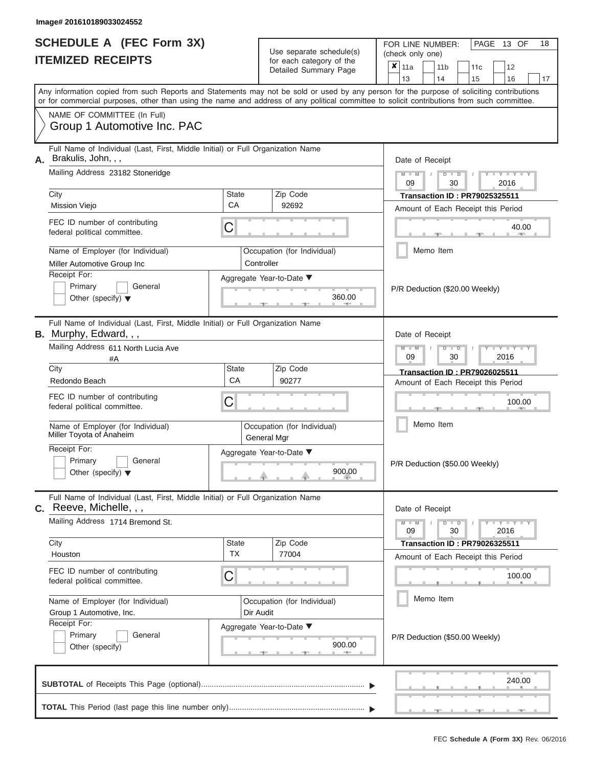|                          | <b>SCHEDULE A (FEC Form 3X)</b> |
|--------------------------|---------------------------------|
| <b>ITEMIZED RECEIPTS</b> |                                 |

FOR LINE NUMBER:<br>(check only one) Use separate schedule(s) for each category of the  $\sum_{n=1}^{\infty}$ 

|                                                                                                                                     |                                                                                                                                                                                                                                                                                         |                                  | $\frac{1}{2}$<br>Detailed Summary Page    |                                                                     | ×                                                                          | 11a<br>13                      |                                | 11 <sub>b</sub><br>14     | 11c<br>15                                                                  | 12<br>16        | 17    |  |  |  |  |  |
|-------------------------------------------------------------------------------------------------------------------------------------|-----------------------------------------------------------------------------------------------------------------------------------------------------------------------------------------------------------------------------------------------------------------------------------------|----------------------------------|-------------------------------------------|---------------------------------------------------------------------|----------------------------------------------------------------------------|--------------------------------|--------------------------------|---------------------------|----------------------------------------------------------------------------|-----------------|-------|--|--|--|--|--|
|                                                                                                                                     | Any information copied from such Reports and Statements may not be sold or used by any person for the purpose of soliciting contributions<br>or for commercial purposes, other than using the name and address of any political committee to solicit contributions from such committee. |                                  |                                           |                                                                     |                                                                            |                                |                                |                           |                                                                            |                 |       |  |  |  |  |  |
|                                                                                                                                     | NAME OF COMMITTEE (In Full)<br>Group 1 Automotive Inc. PAC                                                                                                                                                                                                                              |                                  |                                           |                                                                     |                                                                            |                                |                                |                           |                                                                            |                 |       |  |  |  |  |  |
| А.                                                                                                                                  | Full Name of Individual (Last, First, Middle Initial) or Full Organization Name<br>Brakulis, John, , ,<br>Mailing Address 23182 Stoneridge                                                                                                                                              |                                  | Date of Receipt<br>$M - M$<br>$D$ $D$     |                                                                     |                                                                            |                                |                                |                           |                                                                            |                 |       |  |  |  |  |  |
|                                                                                                                                     | City                                                                                                                                                                                                                                                                                    | <b>State</b>                     | Zip Code                                  |                                                                     |                                                                            | 09                             |                                | 30                        |                                                                            | 2016            |       |  |  |  |  |  |
|                                                                                                                                     | <b>Mission Viejo</b>                                                                                                                                                                                                                                                                    | CA                               | 92692                                     |                                                                     | <b>Transaction ID: PR79025325511</b><br>Amount of Each Receipt this Period |                                |                                |                           |                                                                            |                 |       |  |  |  |  |  |
|                                                                                                                                     | FEC ID number of contributing<br>federal political committee.                                                                                                                                                                                                                           | С                                |                                           |                                                                     |                                                                            |                                |                                |                           |                                                                            |                 | 40.00 |  |  |  |  |  |
|                                                                                                                                     | Name of Employer (for Individual)<br>Miller Automotive Group Inc                                                                                                                                                                                                                        |                                  | Occupation (for Individual)<br>Controller |                                                                     |                                                                            |                                |                                | Memo Item                 |                                                                            |                 |       |  |  |  |  |  |
|                                                                                                                                     | Receipt For:<br>Aggregate Year-to-Date ▼<br>Primary<br>General<br>Other (specify) $\blacktriangledown$                                                                                                                                                                                  |                                  |                                           |                                                                     |                                                                            | P/R Deduction (\$20.00 Weekly) |                                |                           |                                                                            |                 |       |  |  |  |  |  |
| Full Name of Individual (Last, First, Middle Initial) or Full Organization Name<br><b>B.</b> Murphy, Edward, , ,<br>Date of Receipt |                                                                                                                                                                                                                                                                                         |                                  |                                           |                                                                     |                                                                            |                                |                                |                           |                                                                            |                 |       |  |  |  |  |  |
|                                                                                                                                     | Mailing Address 611 North Lucia Ave<br>#A                                                                                                                                                                                                                                               | $M - M$<br>₽<br>2016<br>09<br>30 |                                           |                                                                     |                                                                            |                                |                                |                           |                                                                            |                 |       |  |  |  |  |  |
|                                                                                                                                     | City<br>Redondo Beach                                                                                                                                                                                                                                                                   |                                  |                                           | Transaction ID: PR79026025511<br>Amount of Each Receipt this Period |                                                                            |                                |                                |                           |                                                                            |                 |       |  |  |  |  |  |
|                                                                                                                                     | FEC ID number of contributing<br>federal political committee.                                                                                                                                                                                                                           | С                                |                                           |                                                                     |                                                                            |                                | 100.00                         |                           |                                                                            |                 |       |  |  |  |  |  |
|                                                                                                                                     | Name of Employer (for Individual)<br>Occupation (for Individual)<br>Miller Toyota of Anaheim<br>General Mgr<br>Receipt For:<br>Aggregate Year-to-Date ▼<br>Primary<br>General<br>900.00<br>Other (specify) $\blacktriangledown$                                                         |                                  |                                           |                                                                     |                                                                            |                                | Memo Item                      |                           |                                                                            |                 |       |  |  |  |  |  |
|                                                                                                                                     |                                                                                                                                                                                                                                                                                         |                                  |                                           |                                                                     |                                                                            |                                | P/R Deduction (\$50.00 Weekly) |                           |                                                                            |                 |       |  |  |  |  |  |
|                                                                                                                                     | Full Name of Individual (Last, First, Middle Initial) or Full Organization Name<br>C. Reeve, Michelle, , ,                                                                                                                                                                              |                                  |                                           |                                                                     |                                                                            | Date of Receipt                |                                |                           |                                                                            |                 |       |  |  |  |  |  |
|                                                                                                                                     | Mailing Address 1714 Bremond St.                                                                                                                                                                                                                                                        |                                  |                                           |                                                                     |                                                                            | $M - M$<br>09                  |                                | D<br>$\blacksquare$<br>30 |                                                                            | $Y = Y$<br>2016 |       |  |  |  |  |  |
|                                                                                                                                     | City<br>Houston                                                                                                                                                                                                                                                                         | <b>State</b><br><b>TX</b>        | Zip Code<br>77004                         |                                                                     |                                                                            |                                |                                |                           | <b>Transaction ID: PR79026325511</b><br>Amount of Each Receipt this Period |                 |       |  |  |  |  |  |
|                                                                                                                                     | FEC ID number of contributing<br>federal political committee.                                                                                                                                                                                                                           | С                                |                                           |                                                                     |                                                                            |                                |                                |                           | 100.00                                                                     |                 |       |  |  |  |  |  |
|                                                                                                                                     | Name of Employer (for Individual)<br>Occupation (for Individual)<br>Group 1 Automotive, Inc.<br>Dir Audit                                                                                                                                                                               |                                  |                                           |                                                                     |                                                                            |                                |                                | Memo Item                 |                                                                            |                 |       |  |  |  |  |  |
|                                                                                                                                     | Receipt For:<br>Primary<br>General<br>Other (specify)                                                                                                                                                                                                                                   |                                  | Aggregate Year-to-Date ▼                  | 900.00                                                              |                                                                            |                                |                                |                           | P/R Deduction (\$50.00 Weekly)                                             |                 |       |  |  |  |  |  |
|                                                                                                                                     |                                                                                                                                                                                                                                                                                         |                                  |                                           |                                                                     |                                                                            |                                |                                |                           |                                                                            | 240.00          |       |  |  |  |  |  |
|                                                                                                                                     |                                                                                                                                                                                                                                                                                         |                                  |                                           |                                                                     |                                                                            |                                |                                |                           |                                                                            |                 |       |  |  |  |  |  |

PAGE 13 OF 18

 $\frac{1}{2}$  ,  $\frac{1}{2}$  ,  $\frac{1}{2}$  ,  $\frac{1}{2}$  ,  $\frac{1}{2}$  ,  $\frac{1}{2}$  ,  $\frac{1}{2}$  ,  $\frac{1}{2}$  ,  $\frac{1}{2}$  ,  $\frac{1}{2}$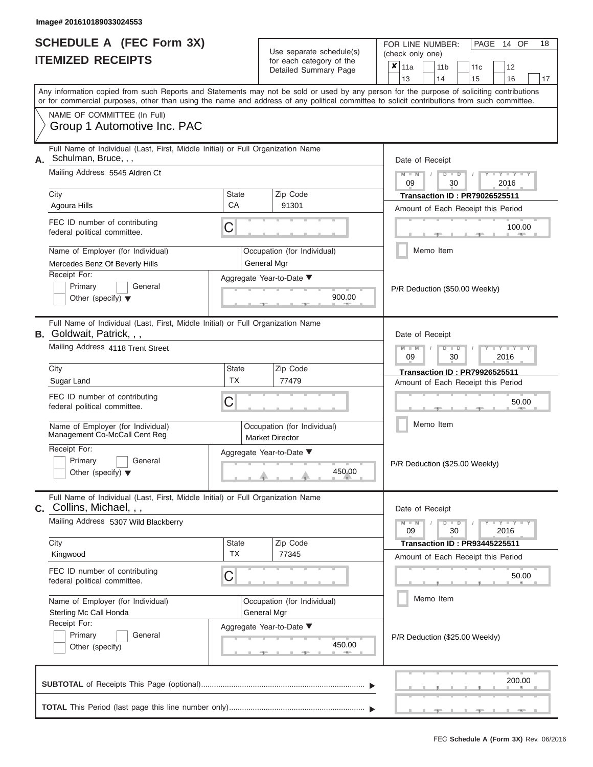|                          | <b>SCHEDULE A (FEC Form 3X)</b> |
|--------------------------|---------------------------------|
| <b>ITEMIZED RECEIPTS</b> |                                 |

FOR LINE NUMBER:<br>(check only one) Use separate schedule(s) (check only one) for each category of the  $\Box$  $\overline{a}$ 

|                                                                                                                                 |                                                                           | Detailed Summary Page                                 | $\boldsymbol{x}$<br>11a<br>11 <sub>b</sub><br>11 <sub>c</sub><br>12<br>13<br>14                                                                                                                                                                                                                                                                               |  |  |  |  |  |  |  |  |  |
|---------------------------------------------------------------------------------------------------------------------------------|---------------------------------------------------------------------------|-------------------------------------------------------|---------------------------------------------------------------------------------------------------------------------------------------------------------------------------------------------------------------------------------------------------------------------------------------------------------------------------------------------------------------|--|--|--|--|--|--|--|--|--|
|                                                                                                                                 |                                                                           |                                                       | 15<br>16<br>17<br>Any information copied from such Reports and Statements may not be sold or used by any person for the purpose of soliciting contributions                                                                                                                                                                                                   |  |  |  |  |  |  |  |  |  |
|                                                                                                                                 |                                                                           |                                                       | or for commercial purposes, other than using the name and address of any political committee to solicit contributions from such committee.                                                                                                                                                                                                                    |  |  |  |  |  |  |  |  |  |
| NAME OF COMMITTEE (In Full)<br>Group 1 Automotive Inc. PAC                                                                      |                                                                           |                                                       |                                                                                                                                                                                                                                                                                                                                                               |  |  |  |  |  |  |  |  |  |
| Full Name of Individual (Last, First, Middle Initial) or Full Organization Name<br>Schulman, Bruce, , ,<br>Α.                   |                                                                           |                                                       | Date of Receipt                                                                                                                                                                                                                                                                                                                                               |  |  |  |  |  |  |  |  |  |
| Mailing Address 5545 Aldren Ct                                                                                                  |                                                                           |                                                       | $Y = Y = Y$<br>$D$ $\Box$ $D$<br>09<br>30<br>2016                                                                                                                                                                                                                                                                                                             |  |  |  |  |  |  |  |  |  |
| City                                                                                                                            | <b>State</b>                                                              | Zip Code                                              | <b>Transaction ID: PR79026525511</b>                                                                                                                                                                                                                                                                                                                          |  |  |  |  |  |  |  |  |  |
| Agoura Hills                                                                                                                    | CA                                                                        | 91301                                                 | Amount of Each Receipt this Period                                                                                                                                                                                                                                                                                                                            |  |  |  |  |  |  |  |  |  |
| FEC ID number of contributing<br>federal political committee.                                                                   | C                                                                         |                                                       | 100.00<br><b>COMPANY</b>                                                                                                                                                                                                                                                                                                                                      |  |  |  |  |  |  |  |  |  |
| Name of Employer (for Individual)                                                                                               |                                                                           | Occupation (for Individual)                           | Memo Item                                                                                                                                                                                                                                                                                                                                                     |  |  |  |  |  |  |  |  |  |
| Mercedes Benz Of Beverly Hills<br>Receipt For:                                                                                  |                                                                           | General Mgr                                           |                                                                                                                                                                                                                                                                                                                                                               |  |  |  |  |  |  |  |  |  |
| Primary<br>General                                                                                                              |                                                                           | Aggregate Year-to-Date ▼                              |                                                                                                                                                                                                                                                                                                                                                               |  |  |  |  |  |  |  |  |  |
| Other (specify) $\blacktriangledown$                                                                                            |                                                                           | 900.00                                                | P/R Deduction (\$50.00 Weekly)                                                                                                                                                                                                                                                                                                                                |  |  |  |  |  |  |  |  |  |
| Full Name of Individual (Last, First, Middle Initial) or Full Organization Name<br>B. Goldwait, Patrick, , ,<br>Date of Receipt |                                                                           |                                                       |                                                                                                                                                                                                                                                                                                                                                               |  |  |  |  |  |  |  |  |  |
| Mailing Address 4118 Trent Street                                                                                               | $T$ $T$ $T$ $T$ $T$ $T$ $T$ $T$<br>$M - M$<br>$D$ $D$<br>09<br>2016<br>30 |                                                       |                                                                                                                                                                                                                                                                                                                                                               |  |  |  |  |  |  |  |  |  |
| City                                                                                                                            | State                                                                     | Zip Code                                              | Transaction ID: PR79926525511                                                                                                                                                                                                                                                                                                                                 |  |  |  |  |  |  |  |  |  |
| Sugar Land                                                                                                                      | ТX                                                                        | 77479                                                 | Amount of Each Receipt this Period                                                                                                                                                                                                                                                                                                                            |  |  |  |  |  |  |  |  |  |
| FEC ID number of contributing<br>federal political committee.                                                                   | C                                                                         |                                                       | 50.00                                                                                                                                                                                                                                                                                                                                                         |  |  |  |  |  |  |  |  |  |
| Name of Employer (for Individual)<br>Management Co-McCall Cent Reg                                                              |                                                                           | Occupation (for Individual)<br><b>Market Director</b> | Memo Item                                                                                                                                                                                                                                                                                                                                                     |  |  |  |  |  |  |  |  |  |
| Receipt For:<br>Primary<br>General<br>Other (specify) $\blacktriangledown$                                                      |                                                                           | Aggregate Year-to-Date ▼<br>450.00                    | P/R Deduction (\$25.00 Weekly)                                                                                                                                                                                                                                                                                                                                |  |  |  |  |  |  |  |  |  |
| Full Name of Individual (Last, First, Middle Initial) or Full Organization Name<br>C. Collins, Michael, , ,                     |                                                                           |                                                       | Date of Receipt                                                                                                                                                                                                                                                                                                                                               |  |  |  |  |  |  |  |  |  |
| Mailing Address 5307 Wild Blackberry                                                                                            |                                                                           |                                                       | $\frac{1}{2}$ $\frac{1}{2}$ $\frac{1}{2}$ $\frac{1}{2}$ $\frac{1}{2}$ $\frac{1}{2}$ $\frac{1}{2}$ $\frac{1}{2}$ $\frac{1}{2}$ $\frac{1}{2}$ $\frac{1}{2}$ $\frac{1}{2}$ $\frac{1}{2}$ $\frac{1}{2}$ $\frac{1}{2}$ $\frac{1}{2}$ $\frac{1}{2}$ $\frac{1}{2}$ $\frac{1}{2}$ $\frac{1}{2}$ $\frac{1}{2}$ $\frac{1}{2}$<br>$M - M$<br>$D$ $D$<br>09<br>30<br>2016 |  |  |  |  |  |  |  |  |  |
| City                                                                                                                            | State                                                                     | Zip Code                                              | <b>Transaction ID: PR93445225511</b>                                                                                                                                                                                                                                                                                                                          |  |  |  |  |  |  |  |  |  |
| Kingwood                                                                                                                        | <b>TX</b>                                                                 | 77345                                                 | Amount of Each Receipt this Period                                                                                                                                                                                                                                                                                                                            |  |  |  |  |  |  |  |  |  |
| FEC ID number of contributing<br>federal political committee.                                                                   | C                                                                         |                                                       | 50.00                                                                                                                                                                                                                                                                                                                                                         |  |  |  |  |  |  |  |  |  |
| Memo Item<br>Name of Employer (for Individual)<br>Occupation (for Individual)<br>Sterling Mc Call Honda<br>General Mgr          |                                                                           |                                                       |                                                                                                                                                                                                                                                                                                                                                               |  |  |  |  |  |  |  |  |  |
| Receipt For:<br>Primary<br>General<br>Other (specify)                                                                           |                                                                           | Aggregate Year-to-Date ▼<br>450.00<br><b>AND A</b>    | P/R Deduction (\$25.00 Weekly)                                                                                                                                                                                                                                                                                                                                |  |  |  |  |  |  |  |  |  |
|                                                                                                                                 |                                                                           |                                                       | 200.00                                                                                                                                                                                                                                                                                                                                                        |  |  |  |  |  |  |  |  |  |

PAGE 14 OF 18

 $\Box$ 

 $\Box$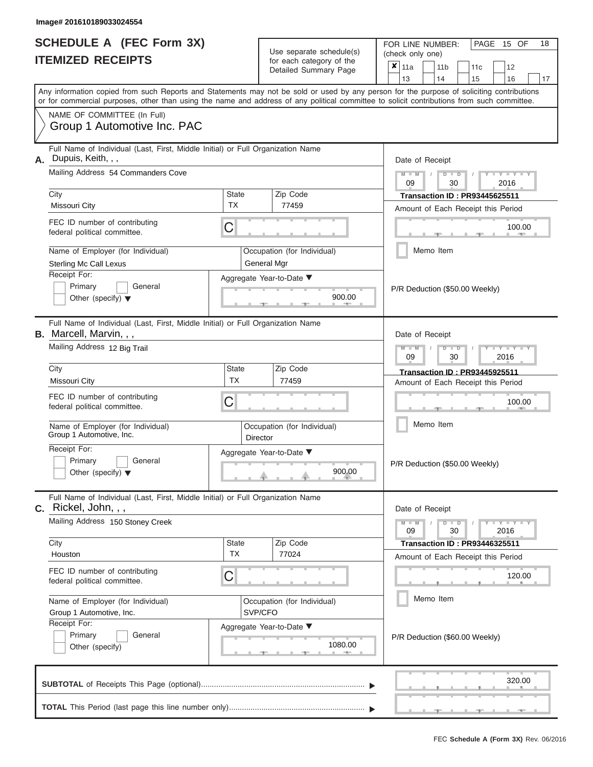|                          | <b>SCHEDULE A (FEC Form 3X)</b> |
|--------------------------|---------------------------------|
| <b>ITEMIZED RECEIPTS</b> |                                 |

FOR LINE NUMBER: Use separate schedule(s) (check only one)<br>for each category of the  $\begin{array}{|c|c|c|c|c|}\n\hline\n\text{Initial Summary goes} & & \text{with } & \text{with } & \text{with } & \text{with } & \text{with } & \text{with } & \text{with } & \text{with } & \text{with } & \text{with } & \text{with } & \text{with } & \text{with } & \text{with } & \text{with } & \text{with } & \text{with } & \text{with } & \text{with } & \text{with } & \text$ 

|                                                                                                                                                 | <b>ILEMIZED RECEIPIS</b>                                                                                                                                                                                                                                                                |                                        |                 | for each category of the<br>Detailed Summary Page                   | $\pmb{\times}$                                       | 11a<br>13                                                       |           | 14                             | 11 <sub>b</sub>                        | 11c<br>15                                                                  | 12<br>16          | 17     |  |
|-------------------------------------------------------------------------------------------------------------------------------------------------|-----------------------------------------------------------------------------------------------------------------------------------------------------------------------------------------------------------------------------------------------------------------------------------------|----------------------------------------|-----------------|---------------------------------------------------------------------|------------------------------------------------------|-----------------------------------------------------------------|-----------|--------------------------------|----------------------------------------|----------------------------------------------------------------------------|-------------------|--------|--|
|                                                                                                                                                 | Any information copied from such Reports and Statements may not be sold or used by any person for the purpose of soliciting contributions<br>or for commercial purposes, other than using the name and address of any political committee to solicit contributions from such committee. |                                        |                 |                                                                     |                                                      |                                                                 |           |                                |                                        |                                                                            |                   |        |  |
|                                                                                                                                                 | NAME OF COMMITTEE (In Full)<br>Group 1 Automotive Inc. PAC                                                                                                                                                                                                                              |                                        |                 |                                                                     |                                                      |                                                                 |           |                                |                                        |                                                                            |                   |        |  |
| А.                                                                                                                                              | Full Name of Individual (Last, First, Middle Initial) or Full Organization Name<br>Dupuis, Keith, , ,                                                                                                                                                                                   |                                        |                 |                                                                     |                                                      | Date of Receipt                                                 |           |                                |                                        |                                                                            |                   |        |  |
|                                                                                                                                                 | Mailing Address 54 Commanders Cove                                                                                                                                                                                                                                                      |                                        |                 |                                                                     |                                                      | $Y = Y =$<br>$M - M$<br>D<br>$\overline{D}$<br>2016<br>09<br>30 |           |                                |                                        |                                                                            |                   |        |  |
|                                                                                                                                                 | City<br>Missouri City                                                                                                                                                                                                                                                                   | State<br>ТX                            |                 | Zip Code<br>77459                                                   |                                                      |                                                                 |           |                                |                                        | <b>Transaction ID: PR93445625511</b><br>Amount of Each Receipt this Period |                   |        |  |
|                                                                                                                                                 | FEC ID number of contributing<br>federal political committee.                                                                                                                                                                                                                           | C                                      |                 |                                                                     |                                                      |                                                                 |           |                                |                                        |                                                                            |                   | 100.00 |  |
|                                                                                                                                                 | Name of Employer (for Individual)<br><b>Sterling Mc Call Lexus</b>                                                                                                                                                                                                                      |                                        |                 | Occupation (for Individual)<br>General Mgr                          |                                                      |                                                                 | Memo Item |                                |                                        |                                                                            |                   |        |  |
| Receipt For:<br>Aggregate Year-to-Date ▼<br>Primary<br>General<br>900.00<br>Other (specify) $\blacktriangledown$                                |                                                                                                                                                                                                                                                                                         |                                        |                 |                                                                     |                                                      |                                                                 |           | P/R Deduction (\$50.00 Weekly) |                                        |                                                                            |                   |        |  |
|                                                                                                                                                 | Full Name of Individual (Last, First, Middle Initial) or Full Organization Name<br><b>B.</b> Marcell, Marvin, , ,                                                                                                                                                                       |                                        | Date of Receipt |                                                                     |                                                      |                                                                 |           |                                |                                        |                                                                            |                   |        |  |
|                                                                                                                                                 | Mailing Address 12 Big Trail                                                                                                                                                                                                                                                            |                                        |                 | Zip Code                                                            | Y TYT<br>$\overline{\mathbb{D}}$<br>2016<br>09<br>30 |                                                                 |           |                                |                                        |                                                                            |                   |        |  |
|                                                                                                                                                 | City<br>Missouri City                                                                                                                                                                                                                                                                   | <b>State</b><br><b>TX</b>              |                 | Transaction ID: PR93445925511<br>Amount of Each Receipt this Period |                                                      |                                                                 |           |                                |                                        |                                                                            |                   |        |  |
| FEC ID number of contributing<br>С<br>federal political committee.<br>Name of Employer (for Individual)<br>Group 1 Automotive, Inc.<br>Director |                                                                                                                                                                                                                                                                                         |                                        |                 |                                                                     |                                                      |                                                                 |           |                                |                                        |                                                                            | 100.00            |        |  |
|                                                                                                                                                 |                                                                                                                                                                                                                                                                                         |                                        |                 | Occupation (for Individual)                                         |                                                      |                                                                 | Memo Item |                                |                                        |                                                                            |                   |        |  |
| Receipt For:<br>Aggregate Year-to-Date ▼<br>Primary<br>General<br>900.00<br>Other (specify) $\blacktriangledown$                                |                                                                                                                                                                                                                                                                                         |                                        |                 |                                                                     |                                                      |                                                                 |           |                                |                                        | P/R Deduction (\$50.00 Weekly)                                             |                   |        |  |
|                                                                                                                                                 | Full Name of Individual (Last, First, Middle Initial) or Full Organization Name<br>C. Rickel, John, , ,                                                                                                                                                                                 |                                        |                 |                                                                     |                                                      | Date of Receipt                                                 |           |                                |                                        |                                                                            |                   |        |  |
|                                                                                                                                                 | Mailing Address 150 Stoney Creek                                                                                                                                                                                                                                                        |                                        |                 |                                                                     |                                                      | 09                                                              |           |                                | $\overline{D}$<br>$\blacksquare$<br>30 |                                                                            | $Y = Y =$<br>2016 |        |  |
|                                                                                                                                                 | City<br>Houston                                                                                                                                                                                                                                                                         | <b>State</b><br>TX                     |                 | Zip Code<br>77024                                                   |                                                      |                                                                 |           |                                |                                        | <b>Transaction ID: PR93446325511</b><br>Amount of Each Receipt this Period |                   |        |  |
|                                                                                                                                                 | FEC ID number of contributing<br>C<br>federal political committee.                                                                                                                                                                                                                      |                                        |                 |                                                                     |                                                      |                                                                 |           |                                |                                        |                                                                            |                   | 120.00 |  |
|                                                                                                                                                 | Name of Employer (for Individual)<br>Group 1 Automotive, Inc.                                                                                                                                                                                                                           | Occupation (for Individual)<br>SVP/CFO |                 | Memo Item                                                           |                                                      |                                                                 |           |                                |                                        |                                                                            |                   |        |  |
|                                                                                                                                                 | Receipt For:<br>Primary<br>General<br>Other (specify)                                                                                                                                                                                                                                   |                                        |                 | Aggregate Year-to-Date ▼<br>1080.00                                 |                                                      |                                                                 |           |                                |                                        | P/R Deduction (\$60.00 Weekly)                                             |                   |        |  |
|                                                                                                                                                 |                                                                                                                                                                                                                                                                                         |                                        |                 |                                                                     |                                                      |                                                                 |           |                                |                                        |                                                                            |                   | 320.00 |  |
|                                                                                                                                                 |                                                                                                                                                                                                                                                                                         |                                        |                 |                                                                     |                                                      |                                                                 |           |                                |                                        |                                                                            |                   |        |  |

PAGE 15 OF 18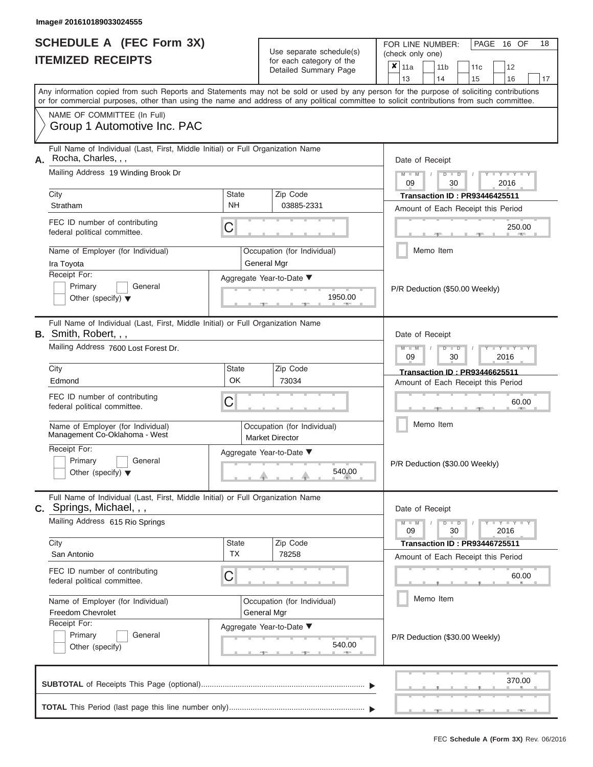|                          | <b>SCHEDULE A (FEC Form 3X)</b> |
|--------------------------|---------------------------------|
| <b>ITEMIZED RECEIPTS</b> |                                 |

FOR LINE NUMBER:<br>(check only one) Use separate schedule(s)

|    | IIEMIZED KEUEIPIS                                                                                                                                                                                                                                                                       |                                                     |  | for each category of the<br>Detailed Summary Page |                                | ×<br>11a                                                                                      |           | 11 <sub>b</sub> | 11c                            | 12 |        |    |  |
|----|-----------------------------------------------------------------------------------------------------------------------------------------------------------------------------------------------------------------------------------------------------------------------------------------|-----------------------------------------------------|--|---------------------------------------------------|--------------------------------|-----------------------------------------------------------------------------------------------|-----------|-----------------|--------------------------------|----|--------|----|--|
|    | Any information copied from such Reports and Statements may not be sold or used by any person for the purpose of soliciting contributions<br>or for commercial purposes, other than using the name and address of any political committee to solicit contributions from such committee. |                                                     |  |                                                   |                                | 13                                                                                            |           | 14              | 15                             | 16 |        | 17 |  |
|    | NAME OF COMMITTEE (In Full)<br>Group 1 Automotive Inc. PAC                                                                                                                                                                                                                              |                                                     |  |                                                   |                                |                                                                                               |           |                 |                                |    |        |    |  |
| А. | Full Name of Individual (Last, First, Middle Initial) or Full Organization Name<br>Rocha, Charles, , ,                                                                                                                                                                                  |                                                     |  |                                                   |                                | Date of Receipt                                                                               |           |                 |                                |    |        |    |  |
|    | Mailing Address 19 Winding Brook Dr                                                                                                                                                                                                                                                     |                                                     |  |                                                   |                                | $M - M$<br>$Y = Y = Y$<br>$D$ $D$<br>09<br>30<br>2016<br><b>Transaction ID: PR93446425511</b> |           |                 |                                |    |        |    |  |
|    | City<br>Stratham                                                                                                                                                                                                                                                                        | Zip Code<br><b>State</b><br><b>NH</b><br>03885-2331 |  |                                                   |                                |                                                                                               |           |                 |                                |    |        |    |  |
|    | FEC ID number of contributing<br>federal political committee.                                                                                                                                                                                                                           | C                                                   |  |                                                   |                                | Amount of Each Receipt this Period<br>250.00                                                  |           |                 |                                |    |        |    |  |
|    | Name of Employer (for Individual)<br>Ira Toyota                                                                                                                                                                                                                                         | Occupation (for Individual)<br>General Mgr          |  |                                                   |                                |                                                                                               | Memo Item |                 |                                |    |        |    |  |
|    | Receipt For:<br>Primary<br>General<br>Other (specify) $\blacktriangledown$                                                                                                                                                                                                              | Aggregate Year-to-Date ▼                            |  | 1950.00                                           |                                | P/R Deduction (\$50.00 Weekly)                                                                |           |                 |                                |    |        |    |  |
|    | Full Name of Individual (Last, First, Middle Initial) or Full Organization Name<br><b>B.</b> Smith, Robert, , ,                                                                                                                                                                         |                                                     |  |                                                   |                                | Date of Receipt                                                                               |           |                 |                                |    |        |    |  |
|    | Mailing Address 7600 Lost Forest Dr.                                                                                                                                                                                                                                                    |                                                     |  |                                                   |                                | $M - M$<br>$T - Y = Y - T$<br>$D$ $D$<br>09<br>30<br>2016                                     |           |                 |                                |    |        |    |  |
|    | City<br>Edmond                                                                                                                                                                                                                                                                          | <b>State</b><br>Zip Code<br>OK<br>73034             |  |                                                   |                                | <b>Transaction ID: PR93446625511</b><br>Amount of Each Receipt this Period                    |           |                 |                                |    |        |    |  |
|    | FEC ID number of contributing<br>C<br>federal political committee.                                                                                                                                                                                                                      |                                                     |  |                                                   |                                | 60.00                                                                                         |           |                 |                                |    |        |    |  |
|    | Name of Employer (for Individual)<br>Occupation (for Individual)<br>Management Co-Oklahoma - West<br><b>Market Director</b>                                                                                                                                                             |                                                     |  |                                                   |                                |                                                                                               |           | Memo Item       |                                |    |        |    |  |
|    | Receipt For:<br>Primary<br>General<br>Other (specify) $\blacktriangledown$                                                                                                                                                                                                              | Aggregate Year-to-Date ▼<br>540.00                  |  |                                                   |                                |                                                                                               |           |                 | P/R Deduction (\$30.00 Weekly) |    |        |    |  |
|    | Full Name of Individual (Last, First, Middle Initial) or Full Organization Name<br><b>C.</b> Springs, Michael, , ,                                                                                                                                                                      |                                                     |  |                                                   |                                | Date of Receipt                                                                               |           |                 |                                |    |        |    |  |
|    | Mailing Address 615 Rio Springs                                                                                                                                                                                                                                                         |                                                     |  |                                                   |                                | $Y = Y = Y$<br>$M - M$<br>$D$ $\Box$ $D$<br>30<br>09<br>2016                                  |           |                 |                                |    |        |    |  |
|    | City<br>San Antonio                                                                                                                                                                                                                                                                     | <b>State</b><br><b>TX</b>                           |  | Zip Code<br>78258                                 |                                | <b>Transaction ID : PR93446725511</b><br>Amount of Each Receipt this Period                   |           |                 |                                |    |        |    |  |
|    | FEC ID number of contributing<br>federal political committee.                                                                                                                                                                                                                           | C                                                   |  |                                                   |                                |                                                                                               |           |                 | 60.00                          |    |        |    |  |
|    | Name of Employer (for Individual)<br>Freedom Chevrolet                                                                                                                                                                                                                                  | Occupation (for Individual)<br>General Mgr          |  |                                                   |                                |                                                                                               |           | Memo Item       |                                |    |        |    |  |
|    | Receipt For:<br>Primary<br>General<br>Other (specify)                                                                                                                                                                                                                                   | Aggregate Year-to-Date ▼                            |  | 540.00<br><b>Britannia</b>                        | P/R Deduction (\$30.00 Weekly) |                                                                                               |           |                 |                                |    |        |    |  |
|    |                                                                                                                                                                                                                                                                                         |                                                     |  |                                                   |                                |                                                                                               |           |                 |                                |    | 370.00 |    |  |
|    |                                                                                                                                                                                                                                                                                         |                                                     |  |                                                   |                                |                                                                                               |           |                 |                                |    |        |    |  |

PAGE 16 OF 18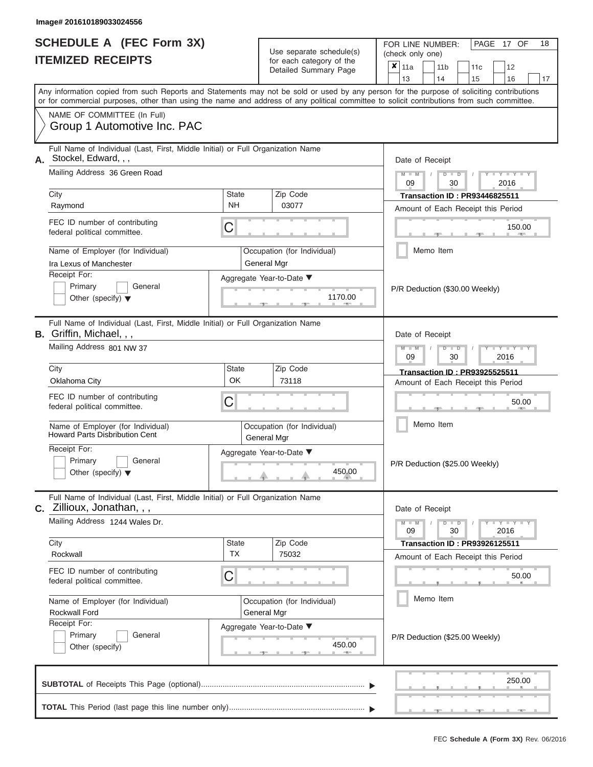|                          | <b>SCHEDULE A (FEC Form 3X)</b> |
|--------------------------|---------------------------------|
| <b>ITEMIZED RECEIPTS</b> |                                 |

FOR LINE NUMBER:<br>(check only one) Use separate schedule(s) (check only one) for each category of the  $\sqrt{2}$ 

|    | <u>IIEMIZED RECEIPIS</u>                                                                                                                                                                                                                                                                |                                            | for each category of the<br>Detailed Summary Page | ×                                            | 11a<br>13                                                                  |                                                    | 11 b<br>14      | 11c<br>15 | 12<br>16 | 17 |  |  |  |
|----|-----------------------------------------------------------------------------------------------------------------------------------------------------------------------------------------------------------------------------------------------------------------------------------------|--------------------------------------------|---------------------------------------------------|----------------------------------------------|----------------------------------------------------------------------------|----------------------------------------------------|-----------------|-----------|----------|----|--|--|--|
|    | Any information copied from such Reports and Statements may not be sold or used by any person for the purpose of soliciting contributions<br>or for commercial purposes, other than using the name and address of any political committee to solicit contributions from such committee. |                                            |                                                   |                                              |                                                                            |                                                    |                 |           |          |    |  |  |  |
|    | NAME OF COMMITTEE (In Full)<br>Group 1 Automotive Inc. PAC                                                                                                                                                                                                                              |                                            |                                                   |                                              |                                                                            |                                                    |                 |           |          |    |  |  |  |
| А. | Full Name of Individual (Last, First, Middle Initial) or Full Organization Name<br>Stockel, Edward, , ,                                                                                                                                                                                 |                                            |                                                   |                                              |                                                                            | Date of Receipt                                    |                 |           |          |    |  |  |  |
|    | Mailing Address 36 Green Road                                                                                                                                                                                                                                                           |                                            |                                                   |                                              |                                                                            | $Y = Y$<br>2016<br>09<br>30                        |                 |           |          |    |  |  |  |
|    | City<br>Raymond                                                                                                                                                                                                                                                                         | <b>State</b><br><b>NH</b>                  | Zip Code<br>03077                                 |                                              | <b>Transaction ID: PR93446825511</b>                                       |                                                    |                 |           |          |    |  |  |  |
|    | FEC ID number of contributing<br>federal political committee.                                                                                                                                                                                                                           | С                                          |                                                   | Amount of Each Receipt this Period<br>150.00 |                                                                            |                                                    |                 |           |          |    |  |  |  |
|    | Name of Employer (for Individual)<br>Ira Lexus of Manchester                                                                                                                                                                                                                            | Occupation (for Individual)<br>General Mgr |                                                   | Memo Item                                    |                                                                            |                                                    |                 |           |          |    |  |  |  |
|    | Receipt For:<br>Primary<br>General<br>Other (specify) $\blacktriangledown$                                                                                                                                                                                                              |                                            | Aggregate Year-to-Date ▼<br>1170.00               |                                              | P/R Deduction (\$30.00 Weekly)                                             |                                                    |                 |           |          |    |  |  |  |
|    | Full Name of Individual (Last, First, Middle Initial) or Full Organization Name<br><b>B.</b> Griffin, Michael, , ,                                                                                                                                                                      |                                            |                                                   |                                              |                                                                            | Date of Receipt                                    |                 |           |          |    |  |  |  |
|    | Mailing Address 801 NW 37                                                                                                                                                                                                                                                               |                                            |                                                   |                                              |                                                                            | $Y - Y$<br>2016<br>09<br>30                        |                 |           |          |    |  |  |  |
|    | City<br>Oklahoma City                                                                                                                                                                                                                                                                   | State<br>OK                                | Zip Code<br>73118                                 |                                              | <b>Transaction ID: PR93925525511</b><br>Amount of Each Receipt this Period |                                                    |                 |           |          |    |  |  |  |
|    | FEC ID number of contributing<br>federal political committee.                                                                                                                                                                                                                           | С                                          |                                                   |                                              |                                                                            |                                                    | 50.00           |           |          |    |  |  |  |
|    | Name of Employer (for Individual)<br><b>Howard Parts Disbribution Cent</b>                                                                                                                                                                                                              | Occupation (for Individual)<br>General Mgr |                                                   |                                              |                                                                            |                                                    | Memo Item       |           |          |    |  |  |  |
|    | Receipt For:<br>Primary<br>General<br>Other (specify) $\blacktriangledown$                                                                                                                                                                                                              |                                            | Aggregate Year-to-Date ▼<br>450.00                |                                              | P/R Deduction (\$25.00 Weekly)                                             |                                                    |                 |           |          |    |  |  |  |
|    | Full Name of Individual (Last, First, Middle Initial) or Full Organization Name<br><b>C.</b> Zillioux, Jonathan, , ,                                                                                                                                                                    |                                            |                                                   |                                              |                                                                            |                                                    | Date of Receipt |           |          |    |  |  |  |
|    | Mailing Address 1244 Wales Dr.                                                                                                                                                                                                                                                          |                                            |                                                   |                                              |                                                                            | $Y - Y$<br>$\overline{D}$<br>D<br>30<br>2016<br>09 |                 |           |          |    |  |  |  |
|    | City<br>Rockwall                                                                                                                                                                                                                                                                        | State<br>TX                                | Zip Code<br>75032                                 |                                              | <b>Transaction ID: PR93926125511</b>                                       |                                                    |                 |           |          |    |  |  |  |
|    | FEC ID number of contributing<br>federal political committee.                                                                                                                                                                                                                           | С                                          |                                                   | Amount of Each Receipt this Period<br>50.00  |                                                                            |                                                    |                 |           |          |    |  |  |  |
|    | Name of Employer (for Individual)<br><b>Rockwall Ford</b>                                                                                                                                                                                                                               | Occupation (for Individual)<br>General Mgr |                                                   | Memo Item                                    |                                                                            |                                                    |                 |           |          |    |  |  |  |
|    | Receipt For:<br>General<br>Primary<br>Other (specify)                                                                                                                                                                                                                                   | Aggregate Year-to-Date ▼                   | P/R Deduction (\$25.00 Weekly)                    |                                              |                                                                            |                                                    |                 |           |          |    |  |  |  |
|    |                                                                                                                                                                                                                                                                                         |                                            |                                                   |                                              |                                                                            |                                                    |                 |           | 250.00   |    |  |  |  |
|    |                                                                                                                                                                                                                                                                                         |                                            |                                                   |                                              |                                                                            |                                                    |                 |           |          |    |  |  |  |

PAGE 17 OF 18